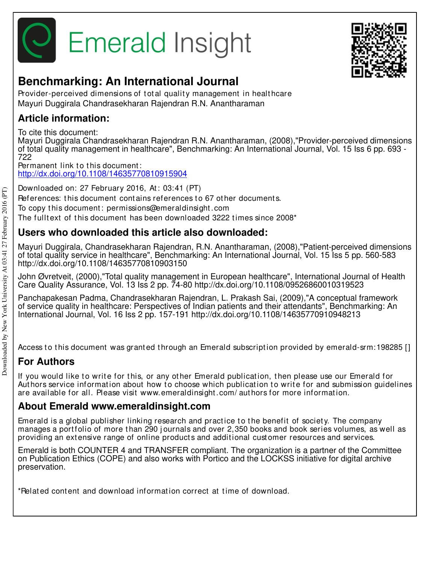



# **Benchmarking: An International Journal**

Provider-perceived dimensions of total quality management in healthcare Mayuri Duggirala Chandrasekharan Rajendran R.N. Anantharaman

# **Article information:**

To cite this document:

Mayuri Duggirala Chandrasekharan Rajendran R.N. Anantharaman, (2008),"Provider-perceived dimensions of total quality management in healthcare", Benchmarking: An International Journal, Vol. 15 Iss 6 pp. 693 - 722

Permanent link to this document: http://dx.doi.org/10.1108/14635770810915904

Downloaded on: 27 February 2016, At : 03:41 (PT)

References: this document contains references to 67 other documents.

To copy t his document : permissions@emeraldinsight .com

The fulltext of this document has been downloaded 3222 times since 2008<sup>\*</sup>

# **Users who downloaded this article also downloaded:**

Mayuri Duggirala, Chandrasekharan Rajendran, R.N. Anantharaman, (2008),"Patient-perceived dimensions of total quality service in healthcare", Benchmarking: An International Journal, Vol. 15 Iss 5 pp. 560-583 http://dx.doi.org/10.1108/14635770810903150

John Øvretveit, (2000),"Total quality management in European healthcare", International Journal of Health Care Quality Assurance, Vol. 13 Iss 2 pp. 74-80 http://dx.doi.org/10.1108/09526860010319523

Panchapakesan Padma, Chandrasekharan Rajendran, L. Prakash Sai, (2009),"A conceptual framework of service quality in healthcare: Perspectives of Indian patients and their attendants", Benchmarking: An International Journal, Vol. 16 Iss 2 pp. 157-191 http://dx.doi.org/10.1108/14635770910948213

Access to this document was granted through an Emerald subscription provided by emerald-srm: 198285 []

# **For Authors**

If you would like to write for this, or any other Emerald publication, then please use our Emerald for Authors service information about how to choose which publication to write for and submission guidelines are available for all. Please visit www.emeraldinsight .com/ aut hors for more informat ion.

# **About Emerald www.emeraldinsight.com**

Emerald is a global publisher linking research and practice to the benefit of society. The company manages a port folio of more t han 290 j ournals and over 2,350 books and book series volumes, as well as providing an extensive range of online products and additional customer resources and services.

Emerald is both COUNTER 4 and TRANSFER compliant. The organization is a partner of the Committee on Publication Ethics (COPE) and also works with Portico and the LOCKSS initiative for digital archive preservation.

\*Relat ed cont ent and download informat ion correct at t ime of download.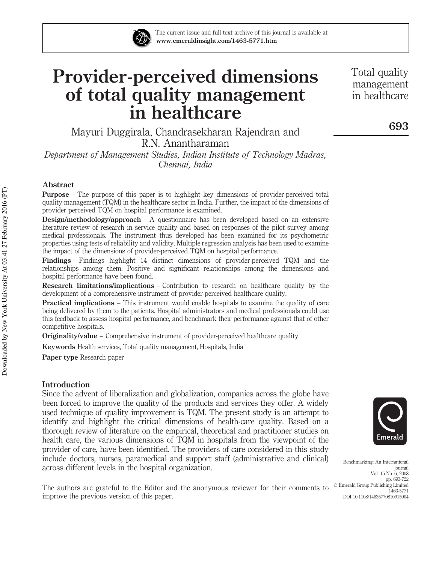

The current issue and full text archive of this journal is available at www.emeraldinsight.com/1463-5771.htm

# Provider-perceived dimensions of total quality management in healthcare

Mayuri Duggirala, Chandrasekharan Rajendran and R.N. Anantharaman

*Department of Management Studies, Indian Institute of Technology Madras, Chennai, India*

# Abstract

Purpose – The purpose of this paper is to highlight key dimensions of provider-perceived total quality management (TQM) in the healthcare sector in India. Further, the impact of the dimensions of provider perceived TQM on hospital performance is examined.

**Design/methodology/approach** – A questionnaire has been developed based on an extensive literature review of research in service quality and based on responses of the pilot survey among medical professionals. The instrument thus developed has been examined for its psychometric properties using tests of reliability and validity. Multiple regression analysis has been used to examine the impact of the dimensions of provider-perceived TQM on hospital performance.

Findings – Findings highlight 14 distinct dimensions of provider-perceived TQM and the relationships among them. Positive and significant relationships among the dimensions and hospital performance have been found.

Research limitations/implications – Contribution to research on healthcare quality by the development of a comprehensive instrument of provider-perceived healthcare quality.

Practical implications – This instrument would enable hospitals to examine the quality of care being delivered by them to the patients. Hospital administrators and medical professionals could use this feedback to assess hospital performance, and benchmark their performance against that of other competitive hospitals.

 $O$ riginality/value – Comprehensive instrument of provider-perceived healthcare quality

Keywords Health services, Total quality management, Hospitals, India

Paper type Research paper

#### Introduction

Since the advent of liberalization and globalization, companies across the globe have been forced to improve the quality of the products and services they offer. A widely used technique of quality improvement is TQM. The present study is an attempt to identify and highlight the critical dimensions of health-care quality. Based on a thorough review of literature on the empirical, theoretical and practitioner studies on health care, the various dimensions of TQM in hospitals from the viewpoint of the provider of care, have been identified. The providers of care considered in this study include doctors, nurses, paramedical and support staff (administrative and clinical) across different levels in the hospital organization.



Benchmarking: An International Journal Vol. 15 No. 6, 2008 pp. 693-722  $©$  Emerald Group Publishing Limited 1463-5771 DOI 10.1108/14635770810915904

The authors are grateful to the Editor and the anonymous reviewer for their comments to improve the previous version of this paper.

Total quality management in healthcare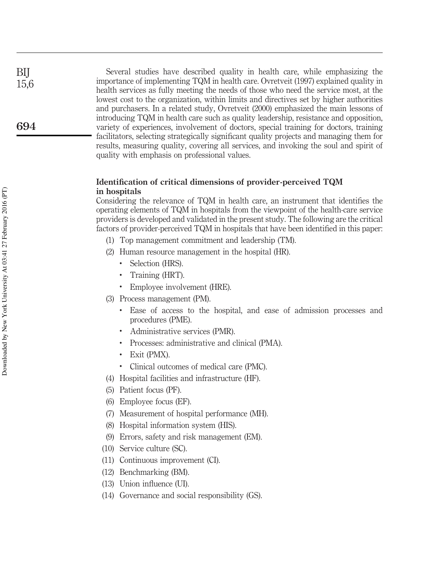Several studies have described quality in health care, while emphasizing the importance of implementing TQM in health care. Ovretveit (1997) explained quality in health services as fully meeting the needs of those who need the service most, at the lowest cost to the organization, within limits and directives set by higher authorities and purchasers. In a related study, Ovretveit (2000) emphasized the main lessons of introducing TQM in health care such as quality leadership, resistance and opposition, variety of experiences, involvement of doctors, special training for doctors, training facilitators, selecting strategically significant quality projects and managing them for results, measuring quality, covering all services, and invoking the soul and spirit of quality with emphasis on professional values.

# Identification of critical dimensions of provider-perceived TQM in hospitals

Considering the relevance of TQM in health care, an instrument that identifies the operating elements of TQM in hospitals from the viewpoint of the health-care service providers is developed and validated in the present study. The following are the critical factors of provider-perceived TQM in hospitals that have been identified in this paper:

- (1) Top management commitment and leadership (TM).
- (2) Human resource management in the hospital (HR).
	- . Selection (HRS).
	- . Training (HRT).
	- . Employee involvement (HRE).
- (3) Process management (PM).
	- . Ease of access to the hospital, and ease of admission processes and procedures (PME).
	- . Administrative services (PMR).
	- . Processes: administrative and clinical (PMA).
	- . Exit (PMX).
	- . Clinical outcomes of medical care (PMC).
- (4) Hospital facilities and infrastructure (HF).
- (5) Patient focus (PF).
- (6) Employee focus (EF).
- (7) Measurement of hospital performance (MH).
- (8) Hospital information system (HIS).
- (9) Errors, safety and risk management (EM).
- (10) Service culture (SC).
- (11) Continuous improvement (CI).
- (12) Benchmarking (BM).
- (13) Union influence (UI).
- (14) Governance and social responsibility (GS).

BIJ 15,6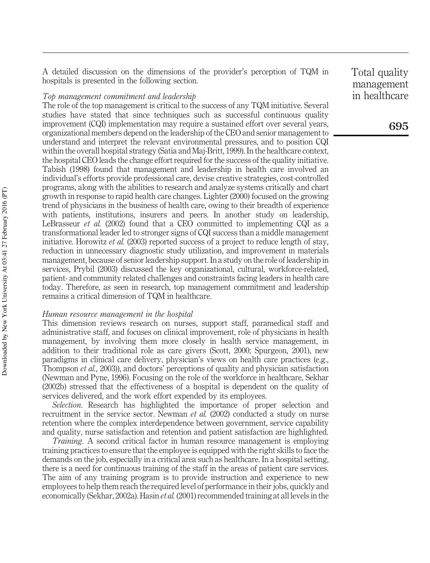A detailed discussion on the dimensions of the provider's perception of TQM in hospitals is presented in the following section.

#### *Top management commitment and leadership*

The role of the top management is critical to the success of any TQM initiative. Several studies have stated that since techniques such as successful continuous quality improvement (CQI) implementation may require a sustained effort over several years, organizational members depend on the leadership of the CEO and senior management to understand and interpret the relevant environmental pressures, and to position CQI within the overall hospital strategy (Satia and Maj-Britt, 1999). In the healthcare context, the hospital CEO leads the change effort required for the success of the quality initiative. Tabish (1998) found that management and leadership in health care involved an individual's efforts provide professional care, devise creative strategies, cost-controlled programs, along with the abilities to research and analyze systems critically and chart growth in response to rapid health care changes. Lighter (2000) focused on the growing trend of physicians in the business of health care, owing to their breadth of experience with patients, institutions, insurers and peers. In another study on leadership, LeBrasseur *et al.* (2002) found that a CEO committed to implementing CQI as a transformational leader led to stronger signs of CQI success than a middle management initiative. Horowitz *et al.* (2003) reported success of a project to reduce length of stay, reduction in unnecessary diagnostic study utilization, and improvement in materials management, because of senior leadership support. In a study on the role of leadership in services, Prybil (2003) discussed the key organizational, cultural, workforce-related, patient- and community related challenges and constraints facing leaders in health care today. Therefore, as seen in research, top management commitment and leadership remains a critical dimension of TQM in healthcare.

#### *Human resource management in the hospital*

This dimension reviews research on nurses, support staff, paramedical staff and administrative staff, and focuses on clinical improvement, role of physicians in health management, by involving them more closely in health service management, in addition to their traditional role as care givers (Scott, 2000; Spurgeon, 2001), new paradigms in clinical care delivery, physician's views on health care practices (e.g., Thompson *et al.*, 2003)), and doctors' perceptions of quality and physician satisfaction (Newman and Pyne, 1996). Focusing on the role of the workforce in healthcare, Sekhar (2002b) stressed that the effectiveness of a hospital is dependent on the quality of services delivered, and the work effort expended by its employees.

*Selection*. Research has highlighted the importance of proper selection and recruitment in the service sector. Newman *et al.* (2002) conducted a study on nurse retention where the complex interdependence between government, service capability and quality, nurse satisfaction and retention and patient satisfaction are highlighted.

*Training*. A second critical factor in human resource management is employing training practices to ensure that the employee is equipped with the right skills to face the demands on the job, especially in a critical area such as healthcare. In a hospital setting, there is a need for continuous training of the staff in the areas of patient care services. The aim of any training program is to provide instruction and experience to new employees to help them reach the required level of performance in their jobs, quickly and economically (Sekhar, 2002a). Hasin *et al.* (2001) recommended training at all levels in the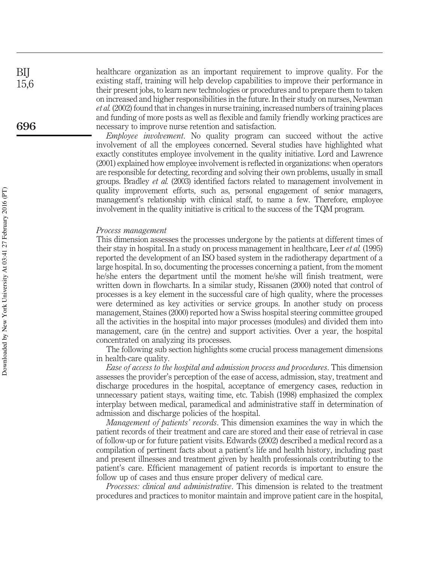healthcare organization as an important requirement to improve quality. For the existing staff, training will help develop capabilities to improve their performance in their present jobs, to learn new technologies or procedures and to prepare them to taken on increased and higher responsibilities in the future. In their study on nurses, Newman *et al.* (2002) found that in changes in nurse training, increased numbers of training places and funding of more posts as well as flexible and family friendly working practices are necessary to improve nurse retention and satisfaction.

*Employee involvement*. No quality program can succeed without the active involvement of all the employees concerned. Several studies have highlighted what exactly constitutes employee involvement in the quality initiative. Lord and Lawrence (2001) explained how employee involvement is reflected in organizations: when operators are responsible for detecting, recording and solving their own problems, usually in small groups. Bradley *et al.* (2003) identified factors related to management involvement in quality improvement efforts, such as, personal engagement of senior managers, management's relationship with clinical staff, to name a few. Therefore, employee involvement in the quality initiative is critical to the success of the TQM program.

#### *Process management*

This dimension assesses the processes undergone by the patients at different times of their stay in hospital. In a study on process management in healthcare, Leer *et al.* (1995) reported the development of an ISO based system in the radiotherapy department of a large hospital. In so, documenting the processes concerning a patient, from the moment he/she enters the department until the moment he/she will finish treatment, were written down in flowcharts. In a similar study, Rissanen (2000) noted that control of processes is a key element in the successful care of high quality, where the processes were determined as key activities or service groups. In another study on process management, Staines (2000) reported how a Swiss hospital steering committee grouped all the activities in the hospital into major processes (modules) and divided them into management, care (in the centre) and support activities. Over a year, the hospital concentrated on analyzing its processes.

The following sub section highlights some crucial process management dimensions in health-care quality.

*Ease of access to the hospital and admission process and procedures*. This dimension assesses the provider's perception of the ease of access, admission, stay, treatment and discharge procedures in the hospital, acceptance of emergency cases, reduction in unnecessary patient stays, waiting time, etc. Tabish (1998) emphasized the complex interplay between medical, paramedical and administrative staff in determination of admission and discharge policies of the hospital.

*Management of patients' records*. This dimension examines the way in which the patient records of their treatment and care are stored and their ease of retrieval in case of follow-up or for future patient visits. Edwards (2002) described a medical record as a compilation of pertinent facts about a patient's life and health history, including past and present illnesses and treatment given by health professionals contributing to the patient's care. Efficient management of patient records is important to ensure the follow up of cases and thus ensure proper delivery of medical care.

*Processes: clinical and administrative*. This dimension is related to the treatment procedures and practices to monitor maintain and improve patient care in the hospital,

BIJ 15,6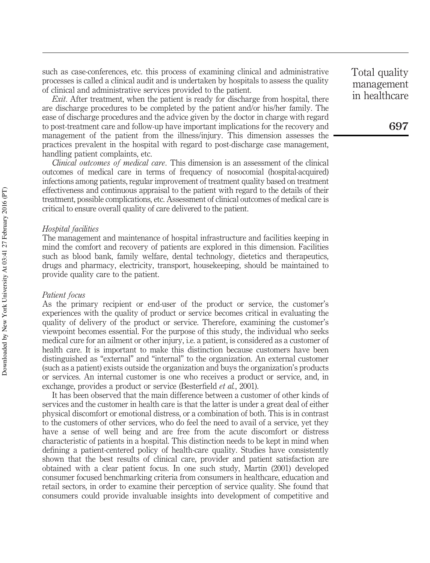such as case-conferences, etc. this process of examining clinical and administrative processes is called a clinical audit and is undertaken by hospitals to assess the quality of clinical and administrative services provided to the patient.

*Exit*. After treatment, when the patient is ready for discharge from hospital, there are discharge procedures to be completed by the patient and/or his/her family. The ease of discharge procedures and the advice given by the doctor in charge with regard to post-treatment care and follow-up have important implications for the recovery and management of the patient from the illness/injury. This dimension assesses the practices prevalent in the hospital with regard to post-discharge case management, handling patient complaints, etc.

*Clinical outcomes of medical care*. This dimension is an assessment of the clinical outcomes of medical care in terms of frequency of nosocomial (hospital-acquired) infections among patients, regular improvement of treatment quality based on treatment effectiveness and continuous appraisal to the patient with regard to the details of their treatment, possible complications, etc. Assessment of clinical outcomes of medical care is critical to ensure overall quality of care delivered to the patient.

#### *Hospital facilities*

The management and maintenance of hospital infrastructure and facilities keeping in mind the comfort and recovery of patients are explored in this dimension. Facilities such as blood bank, family welfare, dental technology, dietetics and therapeutics, drugs and pharmacy, electricity, transport, housekeeping, should be maintained to provide quality care to the patient.

#### *Patient focus*

As the primary recipient or end-user of the product or service, the customer's experiences with the quality of product or service becomes critical in evaluating the quality of delivery of the product or service. Therefore, examining the customer's viewpoint becomes essential. For the purpose of this study, the individual who seeks medical cure for an ailment or other injury, i.e. a patient, is considered as a customer of health care. It is important to make this distinction because customers have been distinguished as "external" and "internal" to the organization. An external customer (such as a patient) exists outside the organization and buys the organization's products or services. An internal customer is one who receives a product or service, and, in exchange, provides a product or service (Besterfield *et al.*, 2001).

It has been observed that the main difference between a customer of other kinds of services and the customer in health care is that the latter is under a great deal of either physical discomfort or emotional distress, or a combination of both. This is in contrast to the customers of other services, who do feel the need to avail of a service, yet they have a sense of well being and are free from the acute discomfort or distress characteristic of patients in a hospital. This distinction needs to be kept in mind when defining a patient-centered policy of health-care quality. Studies have consistently shown that the best results of clinical care, provider and patient satisfaction are obtained with a clear patient focus. In one such study, Martin (2001) developed consumer focused benchmarking criteria from consumers in healthcare, education and retail sectors, in order to examine their perception of service quality. She found that consumers could provide invaluable insights into development of competitive and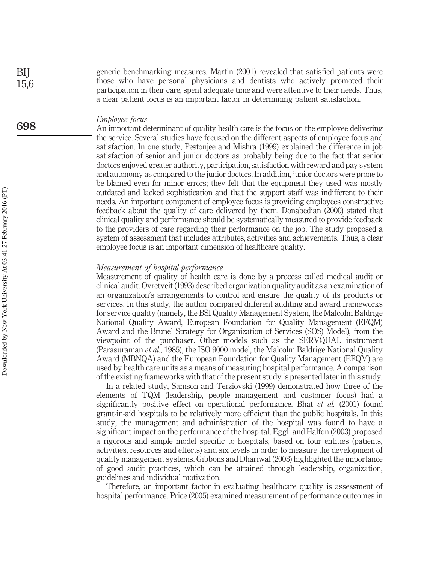generic benchmarking measures. Martin (2001) revealed that satisfied patients were those who have personal physicians and dentists who actively promoted their participation in their care, spent adequate time and were attentive to their needs. Thus, a clear patient focus is an important factor in determining patient satisfaction.

#### *Employee focus*

An important determinant of quality health care is the focus on the employee delivering the service. Several studies have focused on the different aspects of employee focus and satisfaction. In one study, Pestonjee and Mishra (1999) explained the difference in job satisfaction of senior and junior doctors as probably being due to the fact that senior doctors enjoyed greater authority, participation, satisfaction with reward and pay system and autonomy as compared to the junior doctors. In addition, junior doctors were prone to be blamed even for minor errors; they felt that the equipment they used was mostly outdated and lacked sophistication and that the support staff was indifferent to their needs. An important component of employee focus is providing employees constructive feedback about the quality of care delivered by them. Donabedian (2000) stated that clinical quality and performance should be systematically measured to provide feedback to the providers of care regarding their performance on the job. The study proposed a system of assessment that includes attributes, activities and achievements. Thus, a clear employee focus is an important dimension of healthcare quality.

#### *Measurement of hospital performance*

Measurement of quality of health care is done by a process called medical audit or clinical audit. Ovretveit (1993) described organization quality audit as an examination of an organization's arrangements to control and ensure the quality of its products or services. In this study, the author compared different auditing and award frameworks for service quality (namely, the BSI Quality Management System, the Malcolm Baldrige National Quality Award, European Foundation for Quality Management (EFQM) Award and the Brunel Strategy for Organization of Services (SOS) Model), from the viewpoint of the purchaser. Other models such as the SERVQUAL instrument (Parasuraman *et al.*, 1985), the ISO 9000 model, the Malcolm Baldrige National Quality Award (MBNQA) and the European Foundation for Quality Management (EFQM) are used by health care units as a means of measuring hospital performance. A comparison of the existing frameworks with that of the present study is presented later in this study.

In a related study, Samson and Terziovski (1999) demonstrated how three of the elements of TQM (leadership, people management and customer focus) had a significantly positive effect on operational performance. Bhat *et al.* (2001) found grant-in-aid hospitals to be relatively more efficient than the public hospitals. In this study, the management and administration of the hospital was found to have a significant impact on the performance of the hospital. Eggli and Halfon (2003) proposed a rigorous and simple model specific to hospitals, based on four entities (patients, activities, resources and effects) and six levels in order to measure the development of quality management systems. Gibbons and Dhariwal (2003) highlighted the importance of good audit practices, which can be attained through leadership, organization, guidelines and individual motivation.

Therefore, an important factor in evaluating healthcare quality is assessment of hospital performance. Price (2005) examined measurement of performance outcomes in

BIJ 15,6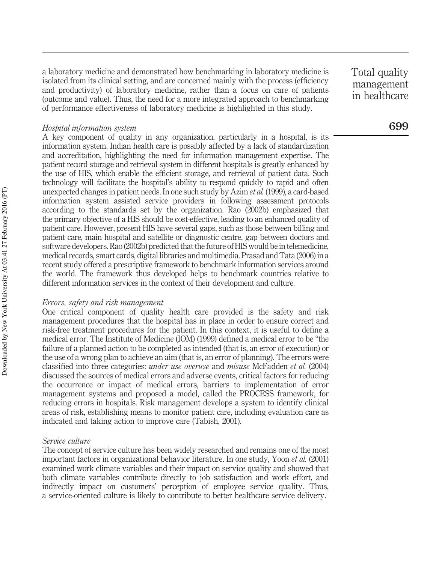a laboratory medicine and demonstrated how benchmarking in laboratory medicine is isolated from its clinical setting, and are concerned mainly with the process (efficiency and productivity) of laboratory medicine, rather than a focus on care of patients (outcome and value). Thus, the need for a more integrated approach to benchmarking of performance effectiveness of laboratory medicine is highlighted in this study.

## *Hospital information system*

A key component of quality in any organization, particularly in a hospital, is its information system. Indian health care is possibly affected by a lack of standardization and accreditation, highlighting the need for information management expertise. The patient record storage and retrieval system in different hospitals is greatly enhanced by the use of HIS, which enable the efficient storage, and retrieval of patient data. Such technology will facilitate the hospital's ability to respond quickly to rapid and often unexpected changes in patient needs. In one such study by Azim *et al.* (1999), a card-based information system assisted service providers in following assessment protocols according to the standards set by the organization. Rao (2002b) emphasized that the primary objective of a HIS should be cost-effective, leading to an enhanced quality of patient care. However, present HIS have several gaps, such as those between billing and patient care, main hospital and satellite or diagnostic centre, gap between doctors and software developers. Rao (2002b) predicted that the future of HIS would be in telemedicine, medical records, smart cards, digital libraries and multimedia. Prasad and Tata (2006) in a recent study offered a prescriptive framework to benchmark information services around the world. The framework thus developed helps to benchmark countries relative to different information services in the context of their development and culture.

#### *Errors, safety and risk management*

One critical component of quality health care provided is the safety and risk management procedures that the hospital has in place in order to ensure correct and risk-free treatment procedures for the patient. In this context, it is useful to define a medical error. The Institute of Medicine (IOM) (1999) defined a medical error to be "the failure of a planned action to be completed as intended (that is, an error of execution) or the use of a wrong plan to achieve an aim (that is, an error of planning). The errors were classified into three categories: *under use overuse* and *misuse* McFadden *et al.* (2004) discussed the sources of medical errors and adverse events, critical factors for reducing the occurrence or impact of medical errors, barriers to implementation of error management systems and proposed a model, called the PROCESS framework, for reducing errors in hospitals. Risk management develops a system to identify clinical areas of risk, establishing means to monitor patient care, including evaluation care as indicated and taking action to improve care (Tabish, 2001).

#### *Service culture*

The concept of service culture has been widely researched and remains one of the most important factors in organizational behavior literature. In one study, Yoon *et al.* (2001) examined work climate variables and their impact on service quality and showed that both climate variables contribute directly to job satisfaction and work effort, and indirectly impact on customers' perception of employee service quality. Thus, a service-oriented culture is likely to contribute to better healthcare service delivery.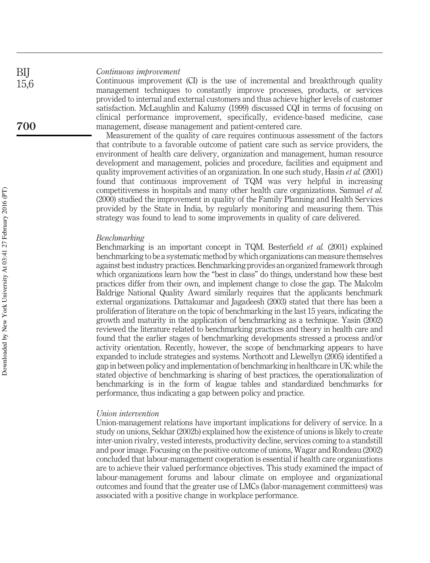#### *Continuous improvement*

Continuous improvement (CI) is the use of incremental and breakthrough quality management techniques to constantly improve processes, products, or services provided to internal and external customers and thus achieve higher levels of customer satisfaction. McLaughlin and Kaluzny (1999) discussed CQI in terms of focusing on clinical performance improvement, specifically, evidence-based medicine, case management, disease management and patient-centered care.

Measurement of the quality of care requires continuous assessment of the factors that contribute to a favorable outcome of patient care such as service providers, the environment of health care delivery, organization and management, human resource development and management, policies and procedure, facilities and equipment and quality improvement activities of an organization. In one such study, Hasin *et al.* (2001) found that continuous improvement of TQM was very helpful in increasing competitiveness in hospitals and many other health care organizations. Samuel *et al.* (2000) studied the improvement in quality of the Family Planning and Health Services provided by the State in India, by regularly monitoring and measuring them. This strategy was found to lead to some improvements in quality of care delivered.

#### *Benchmarking*

Benchmarking is an important concept in TQM. Besterfield *et al.* (2001) explained benchmarking to be a systematic method by which organizations can measure themselves against best industry practices. Benchmarking provides an organized framework through which organizations learn how the "best in class" do things, understand how these best practices differ from their own, and implement change to close the gap. The Malcolm Baldrige National Quality Award similarly requires that the applicants benchmark external organizations. Dattakumar and Jagadeesh (2003) stated that there has been a proliferation of literature on the topic of benchmarking in the last 15 years, indicating the growth and maturity in the application of benchmarking as a technique. Yasin (2002) reviewed the literature related to benchmarking practices and theory in health care and found that the earlier stages of benchmarking developments stressed a process and/or activity orientation. Recently, however, the scope of benchmarking appears to have expanded to include strategies and systems. Northcott and Llewellyn (2005) identified a gap in between policy and implementation of benchmarking in healthcare in UK: while the stated objective of benchmarking is sharing of best practices, the operationalization of benchmarking is in the form of league tables and standardized benchmarks for performance, thus indicating a gap between policy and practice.

#### *Union intervention*

Union-management relations have important implications for delivery of service. In a study on unions, Sekhar (2002b) explained how the existence of unions is likely to create inter-union rivalry, vested interests, productivity decline, services coming to a standstill and poor image. Focusing on the positive outcome of unions, Wagar and Rondeau (2002) concluded that labour-management cooperation is essential if health care organizations are to achieve their valued performance objectives. This study examined the impact of labour-management forums and labour climate on employee and organizational outcomes and found that the greater use of LMCs (labor-management committees) was associated with a positive change in workplace performance.

BIJ 15,6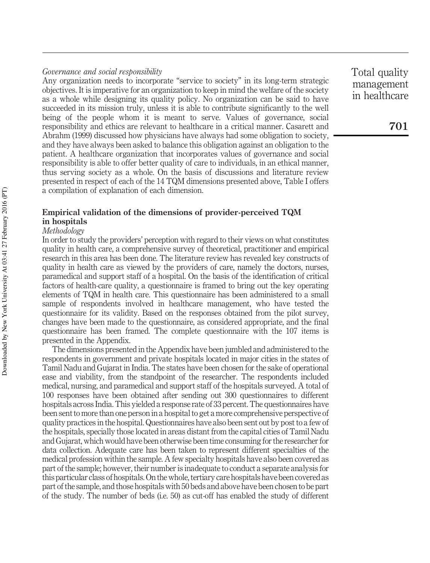#### *Governance and social responsibility*

Any organization needs to incorporate "service to society" in its long-term strategic objectives. It is imperative for an organization to keep in mind the welfare of the society as a whole while designing its quality policy. No organization can be said to have succeeded in its mission truly, unless it is able to contribute significantly to the well being of the people whom it is meant to serve. Values of governance, social responsibility and ethics are relevant to healthcare in a critical manner. Casarett and Abrahm (1999) discussed how physicians have always had some obligation to society, and they have always been asked to balance this obligation against an obligation to the patient. A healthcare organization that incorporates values of governance and social responsibility is able to offer better quality of care to individuals, in an ethical manner, thus serving society as a whole. On the basis of discussions and literature review presented in respect of each of the 14 TQM dimensions presented above, Table I offers a compilation of explanation of each dimension.

# Empirical validation of the dimensions of provider-perceived TQM in hospitals

#### *Methodology*

In order to study the providers' perception with regard to their views on what constitutes quality in health care, a comprehensive survey of theoretical, practitioner and empirical research in this area has been done. The literature review has revealed key constructs of quality in health care as viewed by the providers of care, namely the doctors, nurses, paramedical and support staff of a hospital. On the basis of the identification of critical factors of health-care quality, a questionnaire is framed to bring out the key operating elements of TQM in health care. This questionnaire has been administered to a small sample of respondents involved in healthcare management, who have tested the questionnaire for its validity. Based on the responses obtained from the pilot survey, changes have been made to the questionnaire, as considered appropriate, and the final questionnaire has been framed. The complete questionnaire with the 107 items is presented in the Appendix.

The dimensions presented in the Appendix have been jumbled and administered to the respondents in government and private hospitals located in major cities in the states of Tamil Nadu and Gujarat in India. The states have been chosen for the sake of operational ease and viability, from the standpoint of the researcher. The respondents included medical, nursing, and paramedical and support staff of the hospitals surveyed. A total of 100 responses have been obtained after sending out 300 questionnaires to different hospitals across India. This yielded a response rate of 33 percent. The questionnaires have been sent to more than one person in a hospital to get a more comprehensive perspective of quality practices in the hospital. Questionnaires have also been sent out by post to a few of the hospitals, specially those located in areas distant from the capital cities of Tamil Nadu and Gujarat, which would have been otherwise been time consuming for the researcher for data collection. Adequate care has been taken to represent different specialties of the medical profession within the sample. A few specialty hospitals have also been covered as part of the sample; however, their number is inadequate to conduct a separate analysis for this particular class of hospitals. On the whole, tertiary care hospitals have been covered as part of the sample, and those hospitals with 50 beds and above have been chosen to be part of the study. The number of beds (i.e. 50) as cut-off has enabled the study of different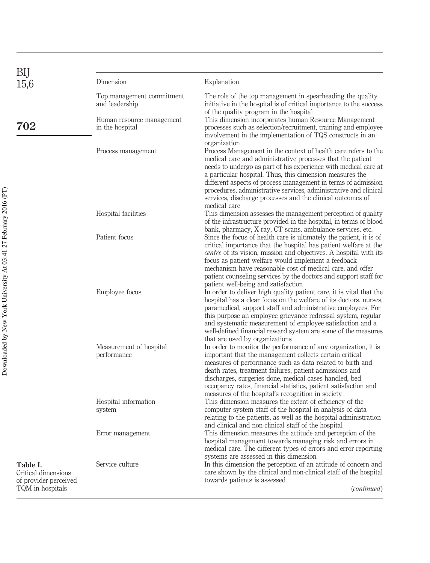| BIJ                                                                          |                                              |                                                                                                                                                                                                                                                                                                                                                                                                                                                                                |
|------------------------------------------------------------------------------|----------------------------------------------|--------------------------------------------------------------------------------------------------------------------------------------------------------------------------------------------------------------------------------------------------------------------------------------------------------------------------------------------------------------------------------------------------------------------------------------------------------------------------------|
| 15,6                                                                         | Dimension                                    | Explanation                                                                                                                                                                                                                                                                                                                                                                                                                                                                    |
|                                                                              | Top management commitment<br>and leadership  | The role of the top management in spearheading the quality<br>initiative in the hospital is of critical importance to the success<br>of the quality program in the hospital                                                                                                                                                                                                                                                                                                    |
| 702                                                                          | Human resource management<br>in the hospital | This dimension incorporates human Resource Management<br>processes such as selection/recruitment, training and employee<br>involvement in the implementation of TQS constructs in an<br>organization                                                                                                                                                                                                                                                                           |
|                                                                              | Process management                           | Process Management in the context of health care refers to the<br>medical care and administrative processes that the patient<br>needs to undergo as part of his experience with medical care at<br>a particular hospital. Thus, this dimension measures the<br>different aspects of process management in terms of admission<br>procedures, administrative services, administrative and clinical<br>services, discharge processes and the clinical outcomes of<br>medical care |
|                                                                              | Hospital facilities                          | This dimension assesses the management perception of quality<br>of the infrastructure provided in the hospital, in terms of blood<br>bank, pharmacy, X-ray, CT scans, ambulance services, etc.                                                                                                                                                                                                                                                                                 |
|                                                                              | Patient focus                                | Since the focus of health care is ultimately the patient, it is of<br>critical importance that the hospital has patient welfare at the<br><i>centre</i> of its vision, mission and objectives. A hospital with its<br>focus as patient welfare would implement a feedback<br>mechanism have reasonable cost of medical care, and offer<br>patient counseling services by the doctors and support staff for<br>patient well-being and satisfaction                              |
|                                                                              | Employee focus                               | In order to deliver high quality patient care, it is vital that the<br>hospital has a clear focus on the welfare of its doctors, nurses,<br>paramedical, support staff and administrative employees. For<br>this purpose an employee grievance redressal system, regular<br>and systematic measurement of employee satisfaction and a<br>well-defined financial reward system are some of the measures<br>that are used by organizations                                       |
|                                                                              | Measurement of hospital<br>performance       | In order to monitor the performance of any organization, it is<br>important that the management collects certain critical<br>measures of performance such as data related to birth and<br>death rates, treatment failures, patient admissions and<br>discharges, surgeries done, medical cases handled, bed<br>occupancy rates, financial statistics, patient satisfaction and<br>measures of the hospital's recognition in society                                            |
|                                                                              | Hospital information<br>system               | This dimension measures the extent of efficiency of the<br>computer system staff of the hospital in analysis of data<br>relating to the patients, as well as the hospital administration<br>and clinical and non-clinical staff of the hospital                                                                                                                                                                                                                                |
|                                                                              | Error management                             | This dimension measures the attitude and perception of the<br>hospital management towards managing risk and errors in<br>medical care. The different types of errors and error reporting<br>systems are assessed in this dimension                                                                                                                                                                                                                                             |
| Table I.<br>Critical dimensions<br>of provider-perceived<br>TQM in hospitals | Service culture                              | In this dimension the perception of an attitude of concern and<br>care shown by the clinical and non-clinical staff of the hospital<br>towards patients is assessed<br>(continued)                                                                                                                                                                                                                                                                                             |
|                                                                              |                                              |                                                                                                                                                                                                                                                                                                                                                                                                                                                                                |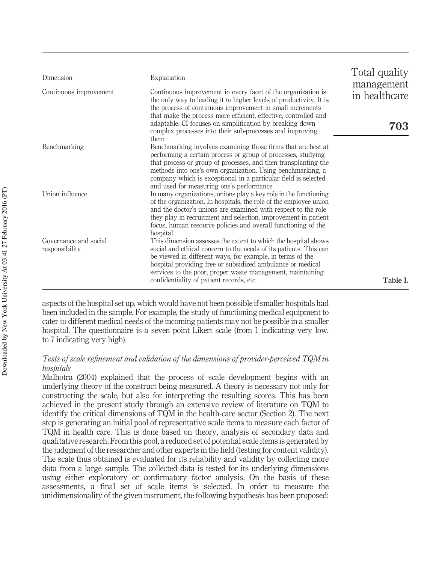| Dimension                               | Explanation                                                                                                                                                                                                                                                                                                                                                                | Total quality               |
|-----------------------------------------|----------------------------------------------------------------------------------------------------------------------------------------------------------------------------------------------------------------------------------------------------------------------------------------------------------------------------------------------------------------------------|-----------------------------|
| Continuous improvement                  | Continuous improvement in every facet of the organization is<br>the only way to leading it to higher levels of productivity. It is<br>the process of continuous improvement in small increments                                                                                                                                                                            | management<br>in healthcare |
|                                         | that make the process more efficient, effective, controlled and<br>adaptable. CI focuses on simplification by breaking down<br>complex processes into their sub-processes and improving<br>them                                                                                                                                                                            | 703                         |
| Benchmarking                            | Benchmarking involves examining those firms that are best at<br>performing a certain process or group of processes, studying<br>that process or group of processes, and then transplanting the<br>methods into one's own organization. Using benchmarking, a<br>company which is exceptional in a particular field is selected<br>and used for measuring one's performance |                             |
| Union influence                         | In many organizations, unions play a key role in the functioning<br>of the organization. In hospitals, the role of the employee union<br>and the doctor's unions are examined with respect to the role<br>they play in recruitment and selection, improvement in patient<br>focus, human resource policies and overall functioning of the<br>hospital                      |                             |
| Governance and social<br>responsibility | This dimension assesses the extent to which the hospital shows<br>social and ethical concern to the needs of its patients. This can<br>be viewed in different ways, for example, in terms of the<br>hospital providing free or subsidized ambulance or medical                                                                                                             |                             |
|                                         | services to the poor, proper waste management, maintaining<br>confidentiality of patient records, etc.                                                                                                                                                                                                                                                                     | Table I.                    |

aspects of the hospital set up, which would have not been possible if smaller hospitals had been included in the sample. For example, the study of functioning medical equipment to cater to different medical needs of the incoming patients may not be possible in a smaller hospital. The questionnaire is a seven point Likert scale (from 1 indicating very low, to 7 indicating very high).

# *Tests of scale refinement and validation of the dimensions of provider-perceived TQM in hospitals*

Malhotra (2004) explained that the process of scale development begins with an underlying theory of the construct being measured. A theory is necessary not only for constructing the scale, but also for interpreting the resulting scores. This has been achieved in the present study through an extensive review of literature on TQM to identify the critical dimensions of TQM in the health-care sector (Section 2). The next step is generating an initial pool of representative scale items to measure each factor of TQM in health care. This is done based on theory, analysis of secondary data and qualitative research. From this pool, a reduced set of potential scale items is generated by the judgment of the researcher and other experts in the field (testing for content validity). The scale thus obtained is evaluated for its reliability and validity by collecting more data from a large sample. The collected data is tested for its underlying dimensions using either exploratory or confirmatory factor analysis. On the basis of these assessments, a final set of scale items is selected. In order to measure the unidimensionality of the given instrument, the following hypothesis has been proposed: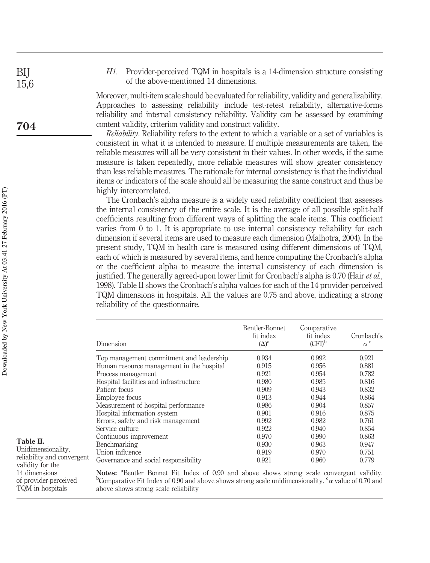*H1.* Provider-perceived TQM in hospitals is a 14-dimension structure consisting of the above-mentioned 14 dimensions.

Moreover, multi-item scale should be evaluated for reliability, validity and generalizability. Approaches to assessing reliability include test-retest reliability, alternative-forms reliability and internal consistency reliability. Validity can be assessed by examining content validity, criterion validity and construct validity.

*Reliability*. Reliability refers to the extent to which a variable or a set of variables is consistent in what it is intended to measure. If multiple measurements are taken, the reliable measures will all be very consistent in their values. In other words, if the same measure is taken repeatedly, more reliable measures will show greater consistency than less reliable measures. The rationale for internal consistency is that the individual items or indicators of the scale should all be measuring the same construct and thus be highly intercorrelated.

The Cronbach's alpha measure is a widely used reliability coefficient that assesses the internal consistency of the entire scale. It is the average of all possible split-half coefficients resulting from different ways of splitting the scale items. This coefficient varies from 0 to 1. It is appropriate to use internal consistency reliability for each dimension if several items are used to measure each dimension (Malhotra, 2004). In the present study, TQM in health care is measured using different dimensions of TQM, each of which is measured by several items, and hence computing the Cronbach's alpha or the coefficient alpha to measure the internal consistency of each dimension is justified. The generally agreed-upon lower limit for Cronbach's alpha is 0.70 (Hair *et al.*, 1998). Table II shows the Cronbach's alpha values for each of the 14 provider-perceived TQM dimensions in hospitals. All the values are 0.75 and above, indicating a strong reliability of the questionnaire.

| Dimension                                 | Bentler-Bonnet<br>fit index<br>$(\Delta)^a$ | Comparative<br>fit index<br>$(CFD^b)$ | Cronbach's<br>$\alpha^{\rm c}$ |
|-------------------------------------------|---------------------------------------------|---------------------------------------|--------------------------------|
| Top management commitment and leadership  | 0.934                                       | 0.992                                 | 0.921                          |
| Human resource management in the hospital | 0.915                                       | 0.956                                 | 0.881                          |
| Process management                        | 0.921                                       | 0.954                                 | 0.782                          |
| Hospital facilities and infrastructure    | 0.980                                       | 0.985                                 | 0.816                          |
| Patient focus                             | 0.909                                       | 0.943                                 | 0.832                          |
| Employee focus                            | 0.913                                       | 0.944                                 | 0.864                          |
| Measurement of hospital performance       | 0.986                                       | 0.904                                 | 0.857                          |
| Hospital information system               | 0.901                                       | 0.916                                 | 0.875                          |
| Errors, safety and risk management        | 0.992                                       | 0.982                                 | 0.761                          |
| Service culture                           | 0.922                                       | 0.940                                 | 0.854                          |
| Continuous improvement                    | 0.970                                       | 0.990                                 | 0.863                          |
| Benchmarking                              | 0.930                                       | 0.963                                 | 0.947                          |
| Union influence                           | 0.919                                       | 0.970                                 | 0.751                          |
| Governance and social responsibility      | 0.921                                       | 0.960                                 | 0.779                          |
|                                           |                                             |                                       |                                |

Unidimensionality, reliability and converge validity for the 14 dimensions of provider-perceived TQM in hospitals

Table II.

Notes: <sup>a</sup>Bentler Bonnet Fit Index of 0.90 and above shows strong scale convergent validity. <sup>b</sup>Comparative Fit Index of 0.90 and above shows strong scale unidimensionality.  $c_{\alpha}$  value of 0.70 and above shows strong scale reliability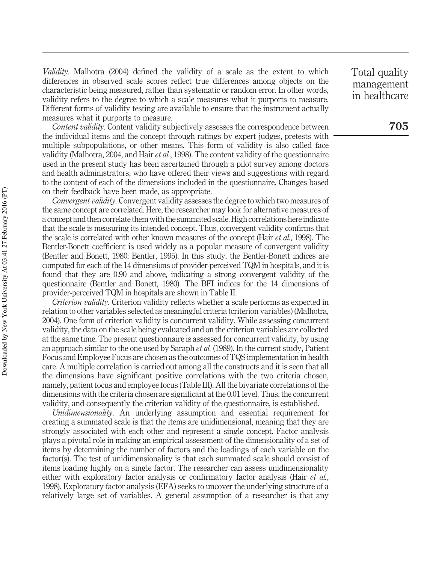*Validity*. Malhotra (2004) defined the validity of a scale as the extent to which differences in observed scale scores reflect true differences among objects on the characteristic being measured, rather than systematic or random error. In other words, validity refers to the degree to which a scale measures what it purports to measure. Different forms of validity testing are available to ensure that the instrument actually measures what it purports to measure.

*Content validity*. Content validity subjectively assesses the correspondence between the individual items and the concept through ratings by expert judges, pretests with multiple subpopulations, or other means. This form of validity is also called face validity (Malhotra, 2004, and Hair *et al.*, 1998). The content validity of the questionnaire used in the present study has been ascertained through a pilot survey among doctors and health administrators, who have offered their views and suggestions with regard to the content of each of the dimensions included in the questionnaire. Changes based on their feedback have been made, as appropriate.

*Convergent validity*. Convergent validity assesses the degree to which two measures of the same concept are correlated. Here, the researcher may look for alternative measures of a concept and then correlate them with the summated scale. High correlations here indicate that the scale is measuring its intended concept. Thus, convergent validity confirms that the scale is correlated with other known measures of the concept (Hair *et al.*, 1998). The Bentler-Bonett coefficient is used widely as a popular measure of convergent validity (Bentler and Bonett, 1980; Bentler, 1995). In this study, the Bentler-Bonett indices are computed for each of the 14 dimensions of provider-perceived TQM in hospitals, and it is found that they are 0.90 and above, indicating a strong convergent validity of the questionnaire (Bentler and Bonett, 1980). The BFI indices for the 14 dimensions of provider-perceived TQM in hospitals are shown in Table II.

*Criterion validity*. Criterion validity reflects whether a scale performs as expected in relation to other variables selected as meaningful criteria (criterion variables) (Malhotra, 2004). One form of criterion validity is concurrent validity. While assessing concurrent validity, the data on the scale being evaluated and on the criterion variables are collected at the same time. The present questionnaire is assessed for concurrent validity, by using an approach similar to the one used by Saraph *et al.* (1989). In the current study, Patient Focus and Employee Focus are chosen as the outcomes of TQS implementation in health care. A multiple correlation is carried out among all the constructs and it is seen that all the dimensions have significant positive correlations with the two criteria chosen, namely, patient focus and employee focus (Table III). All the bivariate correlations of the dimensions with the criteria chosen are significant at the 0.01 level. Thus, the concurrent validity, and consequently the criterion validity of the questionnaire, is established.

*Unidimensionality*. An underlying assumption and essential requirement for creating a summated scale is that the items are unidimensional, meaning that they are strongly associated with each other and represent a single concept. Factor analysis plays a pivotal role in making an empirical assessment of the dimensionality of a set of items by determining the number of factors and the loadings of each variable on the factor(s). The test of unidimensionality is that each summated scale should consist of items loading highly on a single factor. The researcher can assess unidimensionality either with exploratory factor analysis or confirmatory factor analysis (Hair *et al.*, 1998). Exploratory factor analysis (EFA) seeks to uncover the underlying structure of a relatively large set of variables. A general assumption of a researcher is that any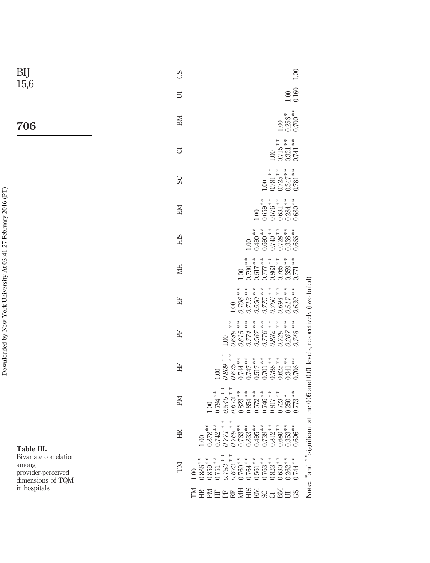| BIJ<br>15,6                                                               | GS         | $1.00$                                                                                                                                                                                                                                                                                                                                                                                                                                                                                                                                                                                                                                                                                                                                  |
|---------------------------------------------------------------------------|------------|-----------------------------------------------------------------------------------------------------------------------------------------------------------------------------------------------------------------------------------------------------------------------------------------------------------------------------------------------------------------------------------------------------------------------------------------------------------------------------------------------------------------------------------------------------------------------------------------------------------------------------------------------------------------------------------------------------------------------------------------|
|                                                                           | $\Box$     | 0.160<br>$1.00\,$                                                                                                                                                                                                                                                                                                                                                                                                                                                                                                                                                                                                                                                                                                                       |
| 706                                                                       | BM         | $\frac{0.256}{0.700}$ **<br>1.00                                                                                                                                                                                                                                                                                                                                                                                                                                                                                                                                                                                                                                                                                                        |
|                                                                           | đ          | $0.715***$<br>$0.321***$<br>$0.741***$<br>$1.00\,$                                                                                                                                                                                                                                                                                                                                                                                                                                                                                                                                                                                                                                                                                      |
|                                                                           | SC         | $0.781***$<br>$0.725***$<br>$0.347***$<br>$0.781**$<br>1.00                                                                                                                                                                                                                                                                                                                                                                                                                                                                                                                                                                                                                                                                             |
|                                                                           | EM         | $0.659**$<br>$0.576**$<br>$0.631***$<br>$0.284***$<br>$0.680**$<br>$1.00\,$                                                                                                                                                                                                                                                                                                                                                                                                                                                                                                                                                                                                                                                             |
|                                                                           | ЯH         | $0.690**$<br>$0.740**$<br>$\begin{array}{l} 0.728** \ 0.338** \ 0.338*** \ 0.666** \end{array}$<br>$0.490***$<br>1.00                                                                                                                                                                                                                                                                                                                                                                                                                                                                                                                                                                                                                   |
|                                                                           | HIM        | $0.777$ **<br>$0.863**$<br>$0.790***$<br>$0.617$ $^{\ast\ast}$<br>$0.765***$<br>$0.359***$<br>$0.771**$<br>00.1                                                                                                                                                                                                                                                                                                                                                                                                                                                                                                                                                                                                                         |
|                                                                           | 臣          | $0.713**$<br>$0.775$ * *<br>$0.766$ * *<br>$0.694$ **<br>$0.706$ * *<br>$0.550$ * *<br>⋇<br>⋇<br>$0.639**$<br>$0.517$ *<br>1.00                                                                                                                                                                                                                                                                                                                                                                                                                                                                                                                                                                                                         |
|                                                                           | Ě          | $0.689$ **<br>$0.815$ **<br>$0.774$ **<br>$0.567$ **<br>$0.776$ **<br>$0.832***$<br>$0.729$ **<br>$0.267$ **<br>$0.748$ **<br>1.00                                                                                                                                                                                                                                                                                                                                                                                                                                                                                                                                                                                                      |
|                                                                           | 臣          | $0.809$ * *<br>$0.675$ * *<br>$0.744***$<br>$0.747***$<br>$0.517***$<br>$0.701$ $^{\ast\ast}$<br>$0.788***$<br>$0.625***$<br>$0.341***$<br>$0.706***$<br>1.00                                                                                                                                                                                                                                                                                                                                                                                                                                                                                                                                                                           |
|                                                                           | ЫĀ         | Note: $*$ and $*$ significant at the 0.05 and 0.01 levels, respectively (two tailed)<br>$0.846$ **<br>$0.673$ **<br>$0.794***$<br>$0.823***$<br>$0.854***$<br>$0.572***$<br>$0.746***$<br>$0.817***$<br>$0.723**$<br>$0.250**$<br>$0.773***$<br>$1.00\,$                                                                                                                                                                                                                                                                                                                                                                                                                                                                                |
| Table III.                                                                | HR         | ⋇<br>⋇<br>$\frac{\partial \mathcal{L}}{\partial \mathbf{r}^2}$<br>₩<br>$\begin{array}{l} \begin{array}{l} \begin{array}{l} \bullet \end{array} \begin{array}{l} \bullet \end{array} \begin{array}{l} \bullet \end{array} \begin{array}{l} \bullet \end{array} \begin{array}{l} \bullet \end{array} \begin{array}{l} \bullet \end{array} \begin{array}{l} \bullet \end{array} \begin{array}{l} \bullet \end{array} \begin{array}{l} \bullet \end{array} \begin{array}{l} \bullet \end{array} \begin{array}{l} \bullet \end{array} \begin{array}{l} \bullet \end{array} \begin{array}{l} \bullet \end{array} \begin{array}{l} \bullet \end{array} \begin{array}{l} \bullet \$<br>$\ast$<br>$\ast$<br>$0.878**$<br>0.769<br>0.742<br>0.771 |
| Bivariate correlation<br>among<br>provider-perceived<br>dimensions of TQM | <b>NLL</b> | $\begin{array}{l} 7.73^{*}_{*} \rightarrow 673^{*}_{*} \rightarrow 73^{*}_{*} \rightarrow 769^{*} \rightarrow 769^{*} \rightarrow 769^{*} \rightarrow 769^{*} \rightarrow 769^{*} \rightarrow 769^{*} \rightarrow 769^{*} \rightarrow 769^{*} \rightarrow 769^{*} \rightarrow 769^{*} \rightarrow 769^{*} \rightarrow 769^{*} \rightarrow 769^{*} \rightarrow 769^{*} \rightarrow 769^{*} \rightarrow 769^{*} \rightarrow 769^{*} \rightarrow 769^{*} \rightarrow 769^{*} \rightarrow 769^{*} \rightarrow$<br>$0.859**$<br>$0.783\,$<br>0.751                                                                                                                                                                                           |
| in hospitals                                                              |            | 토로뙻再분필효픦 양으 몇 교 요                                                                                                                                                                                                                                                                                                                                                                                                                                                                                                                                                                                                                                                                                                                       |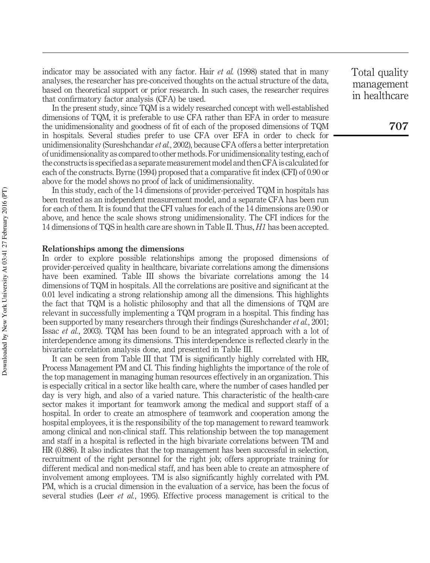indicator may be associated with any factor. Hair *et al.* (1998) stated that in many analyses, the researcher has pre-conceived thoughts on the actual structure of the data, based on theoretical support or prior research. In such cases, the researcher requires that confirmatory factor analysis (CFA) be used.

In the present study, since TQM is a widely researched concept with well-established dimensions of TQM, it is preferable to use CFA rather than EFA in order to measure the unidimensionality and goodness of fit of each of the proposed dimensions of TQM in hospitals. Several studies prefer to use CFA over EFA in order to check for unidimensionality (Sureshchandar *et al.*, 2002), because CFA offers a better interpretation of unidimensionality as compared to other methods. For unidimensionality testing, each of the constructs is specified as a separate measurementmodel and then CFA is calculated for each of the constructs. Byrne (1994) proposed that a comparative fit index (CFI) of 0.90 or above for the model shows no proof of lack of unidimensionality.

In this study, each of the 14 dimensions of provider-perceived TQM in hospitals has been treated as an independent measurement model, and a separate CFA has been run for each of them. It is found that the CFI values for each of the 14 dimensions are 0.90 or above, and hence the scale shows strong unidimensionality. The CFI indices for the 14 dimensions of TQS in health care are shown in Table II. Thus, *H1* has been accepted.

#### Relationships among the dimensions

In order to explore possible relationships among the proposed dimensions of provider-perceived quality in healthcare, bivariate correlations among the dimensions have been examined. Table III shows the bivariate correlations among the 14 dimensions of TQM in hospitals. All the correlations are positive and significant at the 0.01 level indicating a strong relationship among all the dimensions. This highlights the fact that TQM is a holistic philosophy and that all the dimensions of TQM are relevant in successfully implementing a TQM program in a hospital. This finding has been supported by many researchers through their findings (Sureshchander *et al.*, 2001; Issac *et al.*, 2003). TQM has been found to be an integrated approach with a lot of interdependence among its dimensions. This interdependence is reflected clearly in the bivariate correlation analysis done, and presented in Table III.

It can be seen from Table III that TM is significantly highly correlated with HR, Process Management PM and CI. This finding highlights the importance of the role of the top management in managing human resources effectively in an organization. This is especially critical in a sector like health care, where the number of cases handled per day is very high, and also of a varied nature. This characteristic of the health-care sector makes it important for teamwork among the medical and support staff of a hospital. In order to create an atmosphere of teamwork and cooperation among the hospital employees, it is the responsibility of the top management to reward teamwork among clinical and non-clinical staff. This relationship between the top management and staff in a hospital is reflected in the high bivariate correlations between TM and HR (0.886). It also indicates that the top management has been successful in selection, recruitment of the right personnel for the right job; offers appropriate training for different medical and non-medical staff, and has been able to create an atmosphere of involvement among employees. TM is also significantly highly correlated with PM. PM, which is a crucial dimension in the evaluation of a service, has been the focus of several studies (Leer *et al.*, 1995). Effective process management is critical to the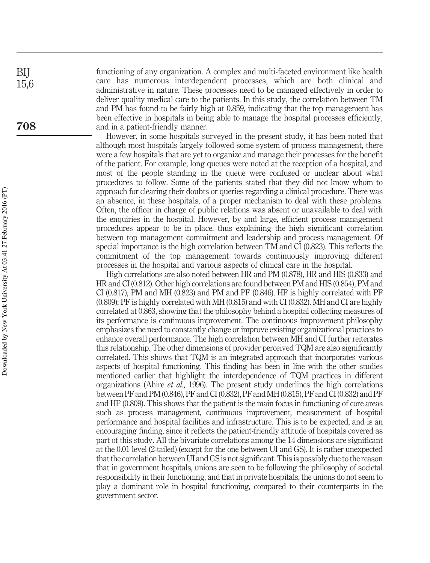functioning of any organization. A complex and multi-faceted environment like health care has numerous interdependent processes, which are both clinical and administrative in nature. These processes need to be managed effectively in order to deliver quality medical care to the patients. In this study, the correlation between TM and PM has found to be fairly high at 0.859, indicating that the top management has been effective in hospitals in being able to manage the hospital processes efficiently, and in a patient-friendly manner.

However, in some hospitals surveyed in the present study, it has been noted that although most hospitals largely followed some system of process management, there were a few hospitals that are yet to organize and manage their processes for the benefit of the patient. For example, long queues were noted at the reception of a hospital, and most of the people standing in the queue were confused or unclear about what procedures to follow. Some of the patients stated that they did not know whom to approach for clearing their doubts or queries regarding a clinical procedure. There was an absence, in these hospitals, of a proper mechanism to deal with these problems. Often, the officer in charge of public relations was absent or unavailable to deal with the enquiries in the hospital. However, by and large, efficient process management procedures appear to be in place, thus explaining the high significant correlation between top management commitment and leadership and process management. Of special importance is the high correlation between TM and CI (0.823). This reflects the commitment of the top management towards continuously improving different processes in the hospital and various aspects of clinical care in the hospital.

High correlations are also noted between HR and PM (0.878), HR and HIS (0.833) and HR and CI (0.812). Other high correlations are found between PM and HIS (0.854), PM and CI (0.817), PM and MH (0.823) and PM and PF (0.846). HF is highly correlated with PF (0.809); PF is highly correlated with MH (0.815) and with CI (0.832). MH and CI are highly correlated at 0.863, showing that the philosophy behind a hospital collecting measures of its performance is continuous improvement. The continuous improvement philosophy emphasizes the need to constantly change or improve existing organizational practices to enhance overall performance. The high correlation between MH and CI further reiterates this relationship. The other dimensions of provider perceived TQM are also significantly correlated. This shows that TQM is an integrated approach that incorporates various aspects of hospital functioning. This finding has been in line with the other studies mentioned earlier that highlight the interdependence of TQM practices in different organizations (Ahire *et al.*, 1996). The present study underlines the high correlations between PF and PM (0.846), PF and CI (0.832), PF and MH (0.815), PF and CI (0.832) and PF and HF (0.809). This shows that the patient is the main focus in functioning of core areas such as process management, continuous improvement, measurement of hospital performance and hospital facilities and infrastructure. This is to be expected, and is an encouraging finding, since it reflects the patient-friendly attitude of hospitals covered as part of this study. All the bivariate correlations among the 14 dimensions are significant at the 0.01 level (2-tailed) (except for the one between UI and GS). It is rather unexpected that the correlation between UI and GS is not significant. This is possibly due to the reason that in government hospitals, unions are seen to be following the philosophy of societal responsibility in their functioning, and that in private hospitals, the unions do not seem to play a dominant role in hospital functioning, compared to their counterparts in the government sector.

BIJ 15,6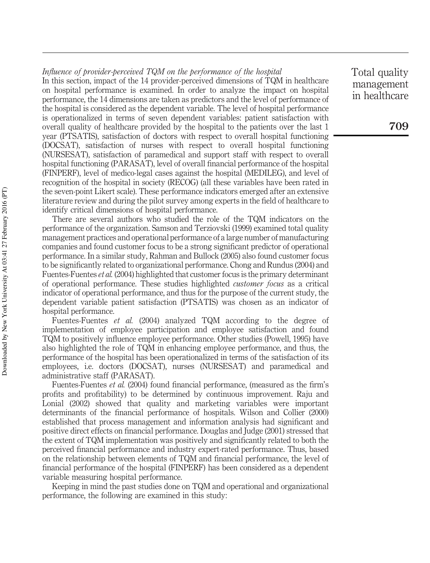#### *Influence of provider-perceived TQM on the performance of the hospital*

In this section, impact of the 14 provider-perceived dimensions of TQM in healthcare on hospital performance is examined. In order to analyze the impact on hospital performance, the 14 dimensions are taken as predictors and the level of performance of the hospital is considered as the dependent variable. The level of hospital performance is operationalized in terms of seven dependent variables: patient satisfaction with overall quality of healthcare provided by the hospital to the patients over the last 1 year (PTSATIS), satisfaction of doctors with respect to overall hospital functioning (DOCSAT), satisfaction of nurses with respect to overall hospital functioning (NURSESAT), satisfaction of paramedical and support staff with respect to overall hospital functioning (PARASAT), level of overall financial performance of the hospital (FINPERF), level of medico-legal cases against the hospital (MEDILEG), and level of recognition of the hospital in society (RECOG) (all these variables have been rated in the seven-point Likert scale). These performance indicators emerged after an extensive literature review and during the pilot survey among experts in the field of healthcare to identify critical dimensions of hospital performance.

There are several authors who studied the role of the TQM indicators on the performance of the organization. Samson and Terziovski (1999) examined total quality management practices and operational performance of a large number of manufacturing companies and found customer focus to be a strong significant predictor of operational performance. In a similar study, Rahman and Bullock (2005) also found customer focus to be significantly related to organizational performance. Chong and Rundus (2004) and Fuentes-Fuentes *et al.* (2004) highlighted that customer focus is the primary determinant of operational performance. These studies highlighted *customer focus* as a critical indicator of operational performance, and thus for the purpose of the current study, the dependent variable patient satisfaction (PTSATIS) was chosen as an indicator of hospital performance.

Fuentes-Fuentes *et al.* (2004) analyzed TQM according to the degree of implementation of employee participation and employee satisfaction and found TQM to positively influence employee performance. Other studies (Powell, 1995) have also highlighted the role of TQM in enhancing employee performance, and thus, the performance of the hospital has been operationalized in terms of the satisfaction of its employees, i.e. doctors (DOCSAT), nurses (NURSESAT) and paramedical and administrative staff (PARASAT).

Fuentes-Fuentes *et al.* (2004) found financial performance, (measured as the firm's profits and profitability) to be determined by continuous improvement. Raju and Lonial (2002) showed that quality and marketing variables were important determinants of the financial performance of hospitals. Wilson and Collier (2000) established that process management and information analysis had significant and positive direct effects on financial performance. Douglas and Judge (2001) stressed that the extent of TQM implementation was positively and significantly related to both the perceived financial performance and industry expert-rated performance. Thus, based on the relationship between elements of TQM and financial performance, the level of financial performance of the hospital (FINPERF) has been considered as a dependent variable measuring hospital performance.

Keeping in mind the past studies done on TQM and operational and organizational performance, the following are examined in this study: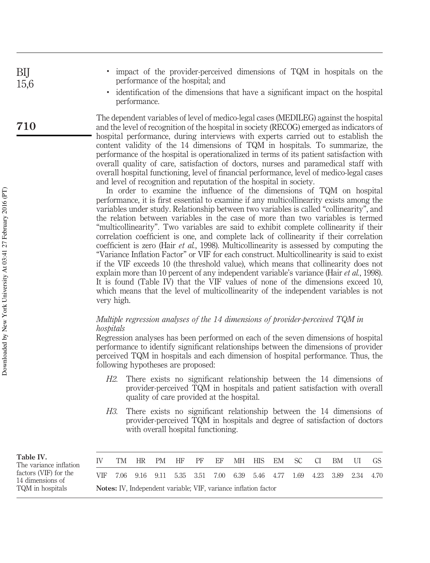BIJ 15,6

710

- . impact of the provider-perceived dimensions of TQM in hospitals on the performance of the hospital; and
- . identification of the dimensions that have a significant impact on the hospital performance.

The dependent variables of level of medico-legal cases (MEDILEG) against the hospital and the level of recognition of the hospital in society (RECOG) emerged as indicators of hospital performance, during interviews with experts carried out to establish the content validity of the 14 dimensions of TQM in hospitals. To summarize, the performance of the hospital is operationalized in terms of its patient satisfaction with overall quality of care, satisfaction of doctors, nurses and paramedical staff with overall hospital functioning, level of financial performance, level of medico-legal cases and level of recognition and reputation of the hospital in society.

In order to examine the influence of the dimensions of TQM on hospital performance, it is first essential to examine if any multicollinearity exists among the variables under study. Relationship between two variables is called "collinearity", and the relation between variables in the case of more than two variables is termed "multicollinearity". Two variables are said to exhibit complete collinearity if their correlation coefficient is one, and complete lack of collinearity if their correlation coefficient is zero (Hair *et al.*, 1998). Multicollinearity is assessed by computing the "Variance Inflation Factor" or VIF for each construct. Multicollinearity is said to exist if the VIF exceeds 10 (the threshold value), which means that collinearity does not explain more than 10 percent of any independent variable's variance (Hair *et al.*, 1998). It is found (Table IV) that the VIF values of none of the dimensions exceed 10, which means that the level of multicollinearity of the independent variables is not very high.

## *Multiple regression analyses of the 14 dimensions of provider-perceived TQM in hospitals*

Regression analyses has been performed on each of the seven dimensions of hospital performance to identify significant relationships between the dimensions of provider perceived TQM in hospitals and each dimension of hospital performance. Thus, the following hypotheses are proposed:

- *H2.* There exists no significant relationship between the 14 dimensions of provider-perceived TQM in hospitals and patient satisfaction with overall quality of care provided at the hospital.
- *H3.* There exists no significant relationship between the 14 dimensions of provider-perceived TQM in hospitals and degree of satisfaction of doctors with overall hospital functioning.

| Table IV.<br>The variance inflation<br>factors (VIF) for the<br>14 dimensions of<br>TQM in hospitals | TМ   | <b>HR</b>           | <b>PM</b> | HF | PF | EF   | МH   | HIS .                                                                  | EM | SC SC  | CI.       | BM | Ш         | GS. |
|------------------------------------------------------------------------------------------------------|------|---------------------|-----------|----|----|------|------|------------------------------------------------------------------------|----|--------|-----------|----|-----------|-----|
|                                                                                                      | 7.06 | 9.16 9.11 5.35 3.51 |           |    |    | 7.00 | 6.39 | 5.46 4.77                                                              |    | - 1.69 | 4.23 3.89 |    | 2.34 4.70 |     |
|                                                                                                      |      |                     |           |    |    |      |      | <b>Notes:</b> IV, Independent variable; VIF, variance inflation factor |    |        |           |    |           |     |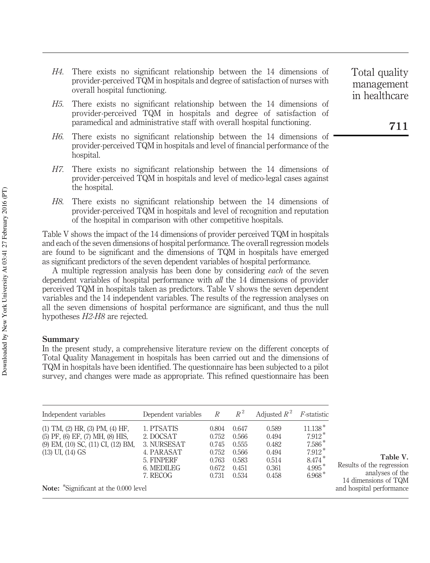- *H4.* There exists no significant relationship between the 14 dimensions of provider-perceived TQM in hospitals and degree of satisfaction of nurses with overall hospital functioning.
- *H5.* There exists no significant relationship between the 14 dimensions of provider-perceived TQM in hospitals and degree of satisfaction of paramedical and administrative staff with overall hospital functioning.
- *H6.* There exists no significant relationship between the 14 dimensions of provider-perceived TQM in hospitals and level of financial performance of the hospital.
- *H7.* There exists no significant relationship between the 14 dimensions of provider-perceived TQM in hospitals and level of medico-legal cases against the hospital.
- *H8.* There exists no significant relationship between the 14 dimensions of provider-perceived TQM in hospitals and level of recognition and reputation of the hospital in comparison with other competitive hospitals.

Table V shows the impact of the 14 dimensions of provider perceived TQM in hospitals and each of the seven dimensions of hospital performance. The overall regression models are found to be significant and the dimensions of TQM in hospitals have emerged as significant predictors of the seven dependent variables of hospital performance.

A multiple regression analysis has been done by considering *each* of the seven dependent variables of hospital performance with *all* the 14 dimensions of provider perceived TQM in hospitals taken as predictors. Table V shows the seven dependent variables and the 14 independent variables. The results of the regression analyses on all the seven dimensions of hospital performance are significant, and thus the null hypotheses *H2*-*H8* are rejected.

#### Summary

In the present study, a comprehensive literature review on the different concepts of Total Quality Management in hospitals has been carried out and the dimensions of TQM in hospitals have been identified. The questionnaire has been subjected to a pilot survey, and changes were made as appropriate. This refined questionnaire has been

| Independent variables                                                                                                                             | Dependent variables                                                                          | R                                                           | $R^2$                                                       | Adjusted $R^2$                                              | <i>F</i> -statistic                                                               |
|---------------------------------------------------------------------------------------------------------------------------------------------------|----------------------------------------------------------------------------------------------|-------------------------------------------------------------|-------------------------------------------------------------|-------------------------------------------------------------|-----------------------------------------------------------------------------------|
| $(1)$ TM, $(2)$ HR, $(3)$ PM, $(4)$ HF,<br>$(5)$ PF, $(6)$ EF, $(7)$ MH, $(8)$ HIS,<br>(9) EM, (10) SC, (11) CI, (12) BM,<br>$(13)$ UI, $(14)$ GS | 1. PTSATIS<br>2. DOCSAT<br>3. NURSESAT<br>4. PARASAT<br>5. FINPERF<br>6. MEDILEG<br>7. RECOG | 0.804<br>0.752<br>0.745<br>0.752<br>0.763<br>0.672<br>0.731 | 0.647<br>0.566<br>0.555<br>0.566<br>0.583<br>0.451<br>0.534 | 0.589<br>0.494<br>0.482<br>0.494<br>0.514<br>0.361<br>0.458 | $11.138*$<br>$7.912*$<br>$7.586*$<br>$7.912*$<br>$8.474*$<br>$4.995*$<br>$6.968*$ |
| Note: "Significant at the 0.000 level                                                                                                             |                                                                                              |                                                             |                                                             |                                                             |                                                                                   |

Table V. Results of the regression analyses of the 14 dimensions of TQM and hospital performance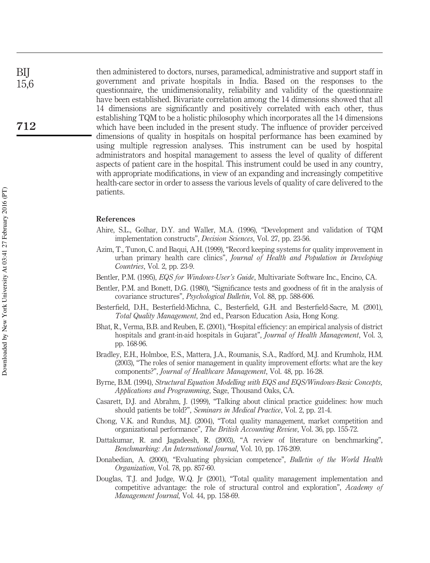then administered to doctors, nurses, paramedical, administrative and support staff in government and private hospitals in India. Based on the responses to the questionnaire, the unidimensionality, reliability and validity of the questionnaire have been established. Bivariate correlation among the 14 dimensions showed that all 14 dimensions are significantly and positively correlated with each other, thus establishing TQM to be a holistic philosophy which incorporates all the 14 dimensions which have been included in the present study. The influence of provider perceived dimensions of quality in hospitals on hospital performance has been examined by using multiple regression analyses. This instrument can be used by hospital administrators and hospital management to assess the level of quality of different aspects of patient care in the hospital. This instrument could be used in any country, with appropriate modifications, in view of an expanding and increasingly competitive health-care sector in order to assess the various levels of quality of care delivered to the patients.

#### References

- Ahire, S.L., Golhar, D.Y. and Waller, M.A. (1996), "Development and validation of TQM implementation constructs", *Decision Sciences*, Vol. 27, pp. 23-56.
- Azim, T., Tunon, C. and Baqui, A.H. (1999), "Record keeping systems for quality improvement in urban primary health care clinics", *Journal of Health and Population in Developing Countries*, Vol. 2, pp. 23-9.
- Bentler, P.M. (1995), *EQS for Windows-User's Guide*, Multivariate Software Inc., Encino, CA.
- Bentler, P.M. and Bonett, D.G. (1980), "Significance tests and goodness of fit in the analysis of covariance structures", *Psychological Bulletin*, Vol. 88, pp. 588-606.
- Besterfield, D.H., Besterfield-Michna, C., Besterfield, G.H. and Besterfield-Sacre, M. (2001), *Total Quality Management*, 2nd ed., Pearson Education Asia, Hong Kong.
- Bhat, R., Verma, B.B. and Reuben, E. (2001), "Hospital efficiency: an empirical analysis of district hospitals and grant-in-aid hospitals in Gujarat", *Journal of Health Management*, Vol. 3, pp. 168-96.
- Bradley, E.H., Holmboe, E.S., Mattera, J.A., Roumanis, S.A., Radford, M.J. and Krumholz, H.M. (2003), "The roles of senior management in quality improvement efforts: what are the key components?", *Journal of Healthcare Management*, Vol. 48, pp. 16-28.
- Byrne, B.M. (1994), *Structural Equation Modelling with EQS and EQS/Windows-Basic Concepts, Applications and Programming*, Sage, Thousand Oaks, CA.
- Casarett, D.J. and Abrahm, J. (1999), "Talking about clinical practice guidelines: how much should patients be told?", *Seminars in Medical Practice*, Vol. 2, pp. 21-4.
- Chong, V.K. and Rundus, M.J. (2004), "Total quality management, market competition and organizational performance", *The British Accounting Review*, Vol. 36, pp. 155-72.
- Dattakumar, R. and Jagadeesh, R. (2003), "A review of literature on benchmarking", *Benchmarking: An International Journal*, Vol. 10, pp. 176-209.
- Donabedian, A. (2000), "Evaluating physician competence", *Bulletin of the World Health Organization*, Vol. 78, pp. 857-60.
- Douglas, T.J. and Judge, W.Q. Jr (2001), "Total quality management implementation and competitive advantage: the role of structural control and exploration", *Academy of Management Journal*, Vol. 44, pp. 158-69.

BIJ 15,6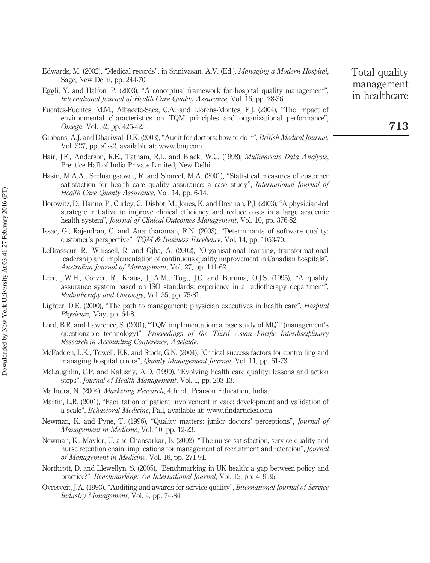- Edwards, M. (2002), "Medical records", in Srinivasan, A.V. (Ed.), *Managing a Modern Hospital*, Sage, New Delhi, pp. 244-70.
- Eggli, Y. and Halfon, P. (2003), "A conceptual framework for hospital quality management", *International Journal of Health Care Quality Assurance*, Vol. 16, pp. 28-36.
- Fuentes-Fuentes, M.M., Albacete-Saez, C.A. and Llorens-Montes, F.J. (2004), "The impact of environmental characteristics on TQM principles and organizational performance", *Omega*, Vol. 32, pp. 425-42.
- Gibbons, A.J. and Dhariwal, D.K. (2003), "Audit for doctors: how to do it", *British Medical Journal*, Vol. 327, pp. s1-s2, available at: www.bmj.com
- Hair, J.F., Anderson, R.E., Tatham, R.L. and Black, W.C. (1998), *Multivariate Data Analysis*, Prentice Hall of India Private Limited, New Delhi.
- Hasin, M.A.A., Seeluangsawat, R. and Shareef, M.A. (2001), "Statistical measures of customer satisfaction for health care quality assurance: a case study", *International Journal of Health Care Quality Assurance*, Vol. 14, pp. 6-14.
- Horowitz, D., Hanno, P., Curley, C., Disbot, M., Jones, K. and Brennan, P.J. (2003), "A physician-led strategic initiative to improve clinical efficiency and reduce costs in a large academic health system", *Journal of Clinical Outcomes Management*, Vol. 10, pp. 376-82.
- Issac, G., Rajendran, C. and Anantharaman, R.N. (2003), "Determinants of software quality: customer's perspective", *TQM & Business Excellence*, Vol. 14, pp. 1053-70.
- LeBrasseur, R., Whissell, R. and Ojha, A. (2002), "Organisational learning, transformational leadership and implementation of continuous quality improvement in Canadian hospitals", *Australian Journal of Management*, Vol. 27, pp. 141-62.
- Leer, J.W.H., Corver, R., Kraus, J.J.A.M., Togt, J.C. and Buruma, O.J.S. (1995), "A quality assurance system based on ISO standards: experience in a radiotherapy department", *Radiotherapy and Oncology*, Vol. 35, pp. 75-81.
- Lighter, D.E. (2000), "The path to management: physician executives in health care", *Hospital Physician*, May, pp. 64-8.
- Lord, B.R. and Lawrence, S. (2001), "TQM implementation: a case study of MQT (management's questionable technology)", *Proceedings of the Third Asian Pacific Interdisciplinary Research in Accounting Conference, Adelaide*.
- McFadden, L.K., Towell, E.R. and Stock, G.N. (2004), "Critical success factors for controlling and managing hospital errors", *Quality Management Journal*, Vol. 11, pp. 61-73.
- McLaughlin, C.P. and Kaluzny, A.D. (1999), "Evolving health care quality: lessons and action steps", *Journal of Health Management*, Vol. 1, pp. 203-13.
- Malhotra, N. (2004), *Marketing Research*, 4th ed., Pearson Education, India.
- Martin, L.R. (2001), "Facilitation of patient involvement in care: development and validation of a scale", *Behavioral Medicine*, Fall, available at: www.findarticles.com
- Newman, K. and Pyne, T. (1996), "Quality matters: junior doctors' perceptions", *Journal of Management in Medicine*, Vol. 10, pp. 12-23.
- Newman, K., Maylor, U. and Chansarkar, B. (2002), "The nurse satisfaction, service quality and nurse retention chain: implications for management of recruitment and retention", *Journal of Management in Medicine*, Vol. 16, pp. 271-91.
- Northcott, D. and Llewellyn, S. (2005), "Benchmarking in UK health: a gap between policy and practice?", *Benchmarking: An International Journal*, Vol. 12, pp. 419-35.
- Ovretveit, J.A. (1993), "Auditing and awards for service quality", *International Journal of Service Industry Management*, Vol. 4, pp. 74-84.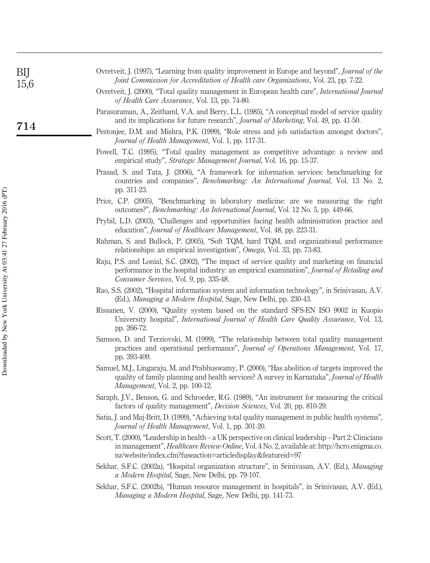|     | of Health Care Assurance, Vol. 13, pp. 74-80.                                                                                                                                                                                                                                 |
|-----|-------------------------------------------------------------------------------------------------------------------------------------------------------------------------------------------------------------------------------------------------------------------------------|
|     | Parasuraman, A., Zeithaml, V.A. and Berry, L.L. (1985), "A conceptual model of service quality<br>and its implications for future research", <i>Journal of Marketing</i> , Vol. 49, pp. 41-50.                                                                                |
| 714 | Pestonjee, D.M. and Mishra, P.K. (1999), "Role stress and job satisfaction amongst doctors",<br>Journal of Health Management, Vol. 1, pp. 117-31.                                                                                                                             |
|     | Powell, T.C. (1995), "Total quality management as competitive advantage: a review and<br>empirical study", Strategic Management Journal, Vol. 16, pp. 15-37.                                                                                                                  |
|     | Prasad, S. and Tata, J. (2006), "A framework for information services: benchmarking for<br>countries and companies", Benchmarking: An International Journal, Vol. 13 No. 2,<br>pp. 311-23.                                                                                    |
|     | Price, C.P. (2005), "Benchmarking in laboratory medicine: are we measuring the right<br>outcomes?", Benchmarking: An International Journal, Vol. 12 No. 5, pp. 449-66.                                                                                                        |
|     | Prybil, L.D. (2003), "Challenges and opportunities facing health administration practice and<br>education", <i>Journal of Healthcare Management</i> , Vol. 48, pp. 223-31.                                                                                                    |
|     | Rahman, S. and Bullock, P. (2005), "Soft TQM, hard TQM, and organizational performance<br>relationships: an empirical investigation", <i>Omega</i> , Vol. 33, pp. 73-83.                                                                                                      |
|     | Raju, P.S. and Lonial, S.C. (2002), "The impact of service quality and marketing on financial<br>performance in the hospital industry: an empirical examination", Journal of Retailing and<br><i>Consumer Services, Vol. 9, pp. 335-48.</i>                                   |
|     | Rao, S.S. (2002), "Hospital information system and information technology", in Srinivasan, A.V.<br>(Ed.), Managing a Modern Hospital, Sage, New Delhi, pp. 230-43.                                                                                                            |
|     | Rissanen, V. (2000), "Quality system based on the standard SFS-EN ISO 9002 in Kuopio<br>University hospital", International Journal of Health Care Quality Assurance, Vol. 13,<br>pp. 266-72.                                                                                 |
|     | Samson, D. and Terziovski, M. (1999), "The relationship between total quality management<br>practices and operational performance", Journal of Operations Management, Vol. 17,<br>pp. 393-409.                                                                                |
|     | Samuel, M.J., Lingaraju, M. and Prabhuswamy, P. (2000), "Has abolition of targets improved the<br>quality of family planning and health services? A survey in Karnataka", Journal of Health<br><i>Management, Vol. 2, pp. 100-12.</i>                                         |
|     | Saraph, J.V., Benson, G. and Schroeder, R.G. (1989), "An instrument for measuring the critical<br>factors of quality management", <i>Decision Sciences</i> , Vol. 20, pp. 810-29.                                                                                             |
|     | Satia, J. and Maj-Britt, D. (1999), "Achieving total quality management in public health systems",<br><i>Journal of Health Management, Vol. 1, pp. 301-20.</i>                                                                                                                |
|     | Scott, T. (2000), "Leadership in health – a UK perspective on clinical leadership – Part 2: Clinicians<br>in management", <i>Healthcare Review-Online</i> , Vol. 4 No. 2, available at: http://hcro.enigma.co.<br>nz/website/index.cfm?fuseaction=articledisplay&featureid=97 |
|     | Sekhar, S.F.C. (2002a), "Hospital organization structure", in Srinivasan, A.V. (Ed.), Managing<br>a Modern Hospital, Sage, New Delhi, pp. 79-107.                                                                                                                             |
|     | Sekhar, S.F.C. (2002b), "Human resource management in hospitals", in Srinivasan, A.V. (Ed.),<br>Managing a Modern Hospital, Sage, New Delhi, pp. 141-73.                                                                                                                      |

Ovretveit, J. (1997), "Learning from quality improvement in Europe and beyond", *Journal of the Joint Commission for Accreditation of Health care Organizations*, Vol. 23, pp. 7-22. Ovretveit, J. (2000), "Total quality management in European health care", *International Journal*

BIJ 15,6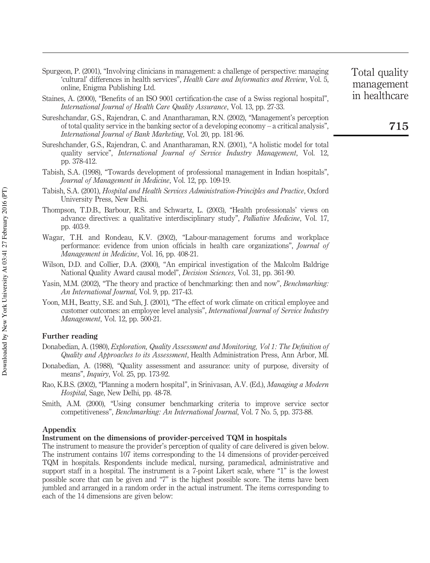- Spurgeon, P. (2001), "Involving clinicians in management: a challenge of perspective: managing 'cultural' differences in health services", *Health Care and Informatics and Review*, Vol. 5, online, Enigma Publishing Ltd.
- Staines, A. (2000), "Benefits of an ISO 9001 certification-the case of a Swiss regional hospital", *International Journal of Health Care Quality Assurance*, Vol. 13, pp. 27-33.
- Sureshchandar, G.S., Rajendran, C. and Anantharaman, R.N. (2002), "Management's perception of total quality service in the banking sector of a developing economy – a critical analysis", *International Journal of Bank Marketing*, Vol. 20, pp. 181-96.
- Sureshchander, G.S., Rajendran, C. and Anantharaman, R.N. (2001), "A holistic model for total quality service", *International Journal of Service Industry Management*, Vol. 12, pp. 378-412.
- Tabish, S.A. (1998), "Towards development of professional management in Indian hospitals", *Journal of Management in Medicine*, Vol. 12, pp. 109-19.
- Tabish, S.A. (2001), *Hospital and Health Services Administration-Principles and Practice*, Oxford University Press, New Delhi.
- Thompson, T.D.B., Barbour, R.S. and Schwartz, L. (2003), "Health professionals' views on advance directives: a qualitative interdisciplinary study", *Palliative Medicine*, Vol. 17, pp. 403-9.
- Wagar, T.H. and Rondeau, K.V. (2002), "Labour-management forums and workplace performance: evidence from union officials in health care organizations", *Journal of Management in Medicine*, Vol. 16, pp. 408-21.
- Wilson, D.D. and Collier, D.A. (2000), "An empirical investigation of the Malcolm Baldrige National Quality Award causal model", *Decision Sciences*, Vol. 31, pp. 361-90.
- Yasin, M.M. (2002), "The theory and practice of benchmarking: then and now", *Benchmarking: An International Journal*, Vol. 9, pp. 217-43.
- Yoon, M.H., Beatty, S.E. and Suh, J. (2001), "The effect of work climate on critical employee and customer outcomes: an employee level analysis", *International Journal of Service Industry Management*, Vol. 12, pp. 500-21.

#### Further reading

- Donabedian, A. (1980), *Exploration, Quality Assessment and Monitoring, Vol 1: The Definition of Quality and Approaches to its Assessment*, Health Administration Press, Ann Arbor, MI.
- Donabedian, A. (1988), "Quality assessment and assurance: unity of purpose, diversity of means", *Inquiry*, Vol. 25, pp. 173-92.
- Rao, K.B.S. (2002), "Planning a modern hospital", in Srinivasan, A.V. (Ed.), *Managing a Modern Hospital*, Sage, New Delhi, pp. 48-78.
- Smith, A.M. (2000), "Using consumer benchmarking criteria to improve service sector competitiveness", *Benchmarking: An International Journal*, Vol. 7 No. 5, pp. 373-88.

#### Appendix

#### Instrument on the dimensions of provider-perceived TQM in hospitals

The instrument to measure the provider's perception of quality of care delivered is given below. The instrument contains 107 items corresponding to the 14 dimensions of provider-perceived TQM in hospitals. Respondents include medical, nursing, paramedical, administrative and support staff in a hospital. The instrument is a 7-point Likert scale, where "1" is the lowest possible score that can be given and "7" is the highest possible score. The items have been jumbled and arranged in a random order in the actual instrument. The items corresponding to each of the 14 dimensions are given below: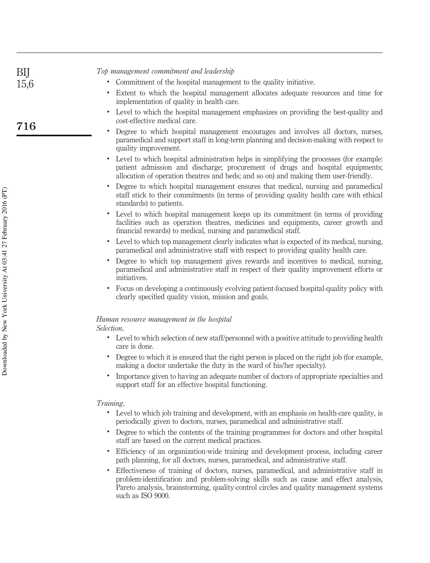| ВIJ  | Top management commitment and leadership                                                                                                                                                                                                                                                                   |
|------|------------------------------------------------------------------------------------------------------------------------------------------------------------------------------------------------------------------------------------------------------------------------------------------------------------|
| 15,6 | Commitment of the hospital management to the quality initiative.                                                                                                                                                                                                                                           |
|      | • Extent to which the hospital management allocates adequate resources and time for<br>implementation of quality in health care.                                                                                                                                                                           |
|      | Level to which the hospital management emphasizes on providing the best-quality and<br>٠<br>cost-effective medical care.                                                                                                                                                                                   |
| 716  | Degree to which hospital management encourages and involves all doctors, nurses,<br>paramedical and support staff in long-term planning and decision-making with respect to<br>quality improvement.                                                                                                        |
|      | • Level to which hospital administration helps in simplifying the processes (for example:<br>patient admission and discharge; procurement of drugs and hospital equipments;<br>allocation of operation theatres and beds; and so on) and making them user-friendly.                                        |
|      | Degree to which hospital management ensures that medical, nursing and paramedical<br>$\bullet$<br>staff stick to their commitments (in terms of providing quality health care with ethical<br>standards) to patients.                                                                                      |
|      | • Level to which hospital management keeps up its commitment (in terms of providing<br>facilities such as operation theatres, medicines and equipments, career growth and<br>financial rewards) to medical, nursing and paramedical staff.                                                                 |
|      | Level to which top management clearly indicates what is expected of its medical, nursing,<br>$\bullet$<br>paramedical and administrative staff with respect to providing quality health care.                                                                                                              |
|      | Degree to which top management gives rewards and incentives to medical, nursing,<br>$\bullet$<br>paramedical and administrative staff in respect of their quality improvement efforts or<br>initiatives.                                                                                                   |
|      | Focus on developing a continuously evolving patient-focused hospital-quality policy with<br>clearly specified quality vision, mission and goals.                                                                                                                                                           |
|      | Human resource management in the hospital<br>Selection.                                                                                                                                                                                                                                                    |
|      | • Level to which selection of new staff/personnel with a positive attitude to providing health<br>care is done.                                                                                                                                                                                            |
|      | Degree to which it is ensured that the right person is placed on the right job (for example,<br>making a doctor undertake the duty in the ward of his/her specialty).                                                                                                                                      |
|      | Importance given to having an adequate number of doctors of appropriate specialties and<br>$\bullet$<br>support staff for an effective hospital functioning.                                                                                                                                               |
|      | Training.                                                                                                                                                                                                                                                                                                  |
|      | • Level to which job training and development, with an emphasis on health-care quality, is<br>periodically given to doctors, nurses, paramedical and administrative staff.                                                                                                                                 |
|      | • Degree to which the contents of the training programmes for doctors and other hospital<br>staff are based on the current medical practices.                                                                                                                                                              |
|      | Efficiency of an organization-wide training and development process, including career<br>٠<br>path planning, for all doctors, nurses, paramedical, and administrative staff.                                                                                                                               |
|      | Effectiveness of training of doctors, nurses, paramedical, and administrative staff in<br>$\bullet$<br>problem-identification and problem-solving skills such as cause and effect analysis,<br>Pareto analysis, brainstorming, quality-control circles and quality management systems<br>such as ISO 9000. |
|      |                                                                                                                                                                                                                                                                                                            |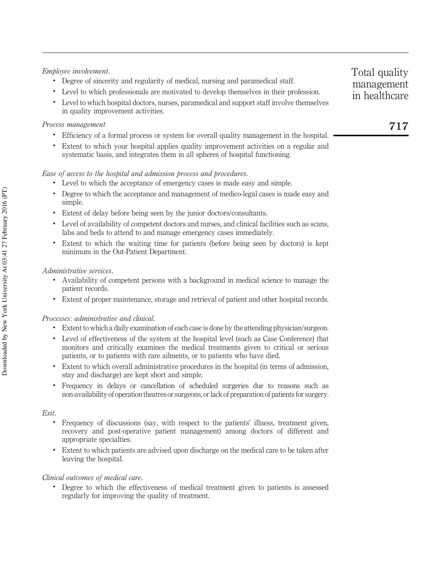# *Employee involvement*.

- . Degree of sincerity and regularity of medical, nursing and paramedical staff.
- . Level to which professionals are motivated to develop themselves in their profession.
- . Level to which hospital doctors, nurses, paramedical and support staff involve themselves in quality improvement activities.

# *Process management*

- . Efficiency of a formal process or system for overall quality management in the hospital.
- . Extent to which your hospital applies quality improvement activities on a regular and systematic basis, and integrates them in all spheres of hospital functioning.

# *Ease of access to the hospital and admission process and procedures*.

- . Level to which the acceptance of emergency cases is made easy and simple.
- . Degree to which the acceptance and management of medico-legal cases is made easy and simple.
- . Extent of delay before being seen by the junior doctors/consultants.
- . Level of availability of competent doctors and nurses, and clinical facilities such as scans, labs and beds to attend to and manage emergency cases immediately.
- . Extent to which the waiting time for patients (before being seen by doctors) is kept minimum in the Out-Patient Department.

# *Administrative services*.

- . Availability of competent persons with a background in medical science to manage the patient records.
- . Extent of proper maintenance, storage and retrieval of patient and other hospital records.

# *Processes: administrative and clinical*.

- . Extent to which a daily examination of each case is done by the attending physician/surgeon.
- . Level of effectiveness of the system at the hospital level (such as Case Conference) that monitors and critically examines the medical treatments given to critical or serious patients, or to patients with rare ailments, or to patients who have died.
- . Extent to which overall administrative procedures in the hospital (in terms of admission, stay and discharge) are kept short and simple.
- . Frequency in delays or cancellation of scheduled surgeries due to reasons such as non-availability of operation theatres or surgeons, or lack of preparation of patients for surgery.

# *Exit*.

- . Frequency of discussions (say, with respect to the patients' illness, treatment given, recovery and post-operative patient management) among doctors of different and appropriate specialties.
- . Extent to which patients are advised upon discharge on the medical care to be taken after leaving the hospital.

# *Clinical outcomes of medical care*.

. Degree to which the effectiveness of medical treatment given to patients is assessed regularly for improving the quality of treatment.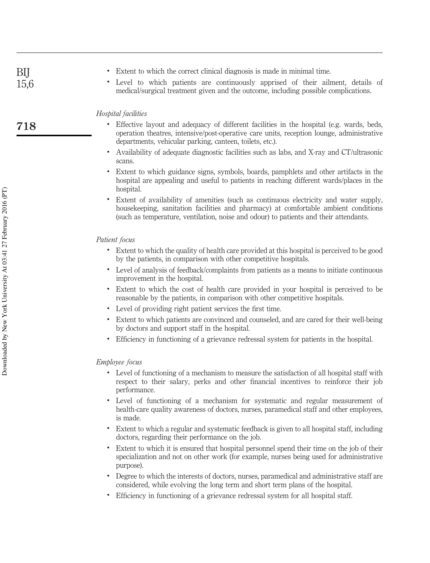- . Extent to which the correct clinical diagnosis is made in minimal time.
- . Level to which patients are continuously apprised of their ailment, details of medical/surgical treatment given and the outcome, including possible complications.

#### *Hospital facilities*

- . Effective layout and adequacy of different facilities in the hospital (e.g. wards, beds, operation theatres, intensive/post-operative care units, reception lounge, administrative departments, vehicular parking, canteen, toilets, etc.).
- . Availability of adequate diagnostic facilities such as labs, and X-ray and CT/ultrasonic scans.
- . Extent to which guidance signs, symbols, boards, pamphlets and other artifacts in the hospital are appealing and useful to patients in reaching different wards/places in the hospital.
- . Extent of availability of amenities (such as continuous electricity and water supply, housekeeping, sanitation facilities and pharmacy) at comfortable ambient conditions (such as temperature, ventilation, noise and odour) to patients and their attendants.

#### *Patient focus*

- . Extent to which the quality of health care provided at this hospital is perceived to be good by the patients, in comparison with other competitive hospitals.
- . Level of analysis of feedback/complaints from patients as a means to initiate continuous improvement in the hospital.
- . Extent to which the cost of health care provided in your hospital is perceived to be reasonable by the patients, in comparison with other competitive hospitals.
- . Level of providing right patient services the first time.
- . Extent to which patients are convinced and counseled, and are cared for their well-being by doctors and support staff in the hospital.
- . Efficiency in functioning of a grievance redressal system for patients in the hospital.

#### *Employee focus*

- . Level of functioning of a mechanism to measure the satisfaction of all hospital staff with respect to their salary, perks and other financial incentives to reinforce their job performance.
- . Level of functioning of a mechanism for systematic and regular measurement of health-care quality awareness of doctors, nurses, paramedical staff and other employees, is made.
- . Extent to which a regular and systematic feedback is given to all hospital staff, including doctors, regarding their performance on the job.
- . Extent to which it is ensured that hospital personnel spend their time on the job of their specialization and not on other work (for example, nurses being used for administrative purpose).
- . Degree to which the interests of doctors, nurses, paramedical and administrative staff are considered, while evolving the long term and short term plans of the hospital.
- . Efficiency in functioning of a grievance redressal system for all hospital staff.

BIJ 15,6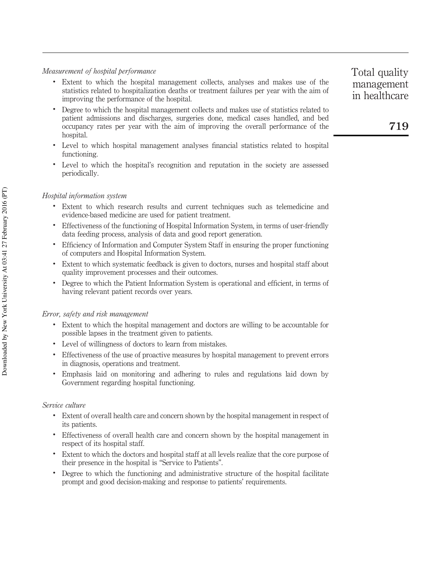#### *Measurement of hospital performance*

- . Extent to which the hospital management collects, analyses and makes use of the statistics related to hospitalization deaths or treatment failures per year with the aim of improving the performance of the hospital.
- . Degree to which the hospital management collects and makes use of statistics related to patient admissions and discharges, surgeries done, medical cases handled, and bed occupancy rates per year with the aim of improving the overall performance of the hospital.
- . Level to which hospital management analyses financial statistics related to hospital functioning.
- . Level to which the hospital's recognition and reputation in the society are assessed periodically.

# *Hospital information system*

- . Extent to which research results and current techniques such as telemedicine and evidence-based medicine are used for patient treatment.
- . Effectiveness of the functioning of Hospital Information System, in terms of user-friendly data feeding process, analysis of data and good report generation.
- . Efficiency of Information and Computer System Staff in ensuring the proper functioning of computers and Hospital Information System.
- . Extent to which systematic feedback is given to doctors, nurses and hospital staff about quality improvement processes and their outcomes.
- . Degree to which the Patient Information System is operational and efficient, in terms of having relevant patient records over years.

# *Error, safety and risk management*

- . Extent to which the hospital management and doctors are willing to be accountable for possible lapses in the treatment given to patients.
- . Level of willingness of doctors to learn from mistakes.
- . Effectiveness of the use of proactive measures by hospital management to prevent errors in diagnosis, operations and treatment.
- . Emphasis laid on monitoring and adhering to rules and regulations laid down by Government regarding hospital functioning.

#### *Service culture*

- . Extent of overall health care and concern shown by the hospital management in respect of its patients.
- . Effectiveness of overall health care and concern shown by the hospital management in respect of its hospital staff.
- . Extent to which the doctors and hospital staff at all levels realize that the core purpose of their presence in the hospital is "Service to Patients".
- . Degree to which the functioning and administrative structure of the hospital facilitate prompt and good decision-making and response to patients' requirements.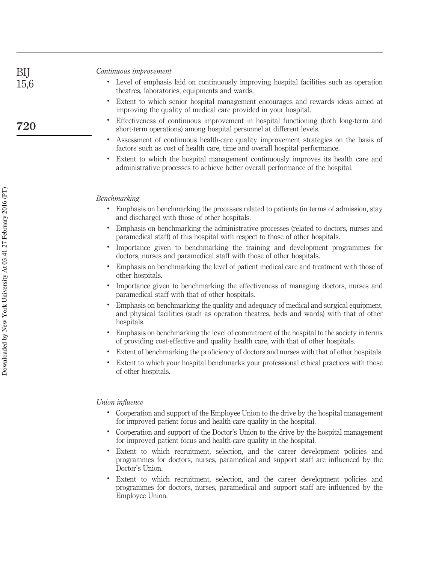| BIJ  | Continuous improvement                                                                                                                                                                          |
|------|-------------------------------------------------------------------------------------------------------------------------------------------------------------------------------------------------|
| 15,6 | • Level of emphasis laid on continuously improving hospital facilities such as operation<br>theatres, laboratories, equipments and wards.                                                       |
|      | Extent to which senior hospital management encourages and rewards ideas aimed at<br>$\bullet$<br>improving the quality of medical care provided in your hospital.                               |
| 720  | Effectiveness of continuous improvement in hospital functioning (both long-term and<br>$\bullet$<br>short-term operations) among hospital personnel at different levels.                        |
|      | Assessment of continuous health-care quality improvement strategies on the basis of<br>$\bullet$<br>factors such as cost of health care, time and overall hospital performance.                 |
|      | Extent to which the hospital management continuously improves its health care and<br>$\bullet$<br>administrative processes to achieve better overall performance of the hospital.               |
|      | Benchmarking                                                                                                                                                                                    |
|      | • Emphasis on benchmarking the processes related to patients (in terms of admission, stay<br>and discharge) with those of other hospitals.                                                      |
|      | • Emphasis on benchmarking the administrative processes (related to doctors, nurses and<br>paramedical staff) of this hospital with respect to those of other hospitals.                        |
|      | • Importance given to benchmarking the training and development programmes for<br>doctors, nurses and paramedical staff with those of other hospitals.                                          |
|      | • Emphasis on benchmarking the level of patient medical care and treatment with those of<br>other hospitals.                                                                                    |
|      | • Importance given to benchmarking the effectiveness of managing doctors, nurses and<br>paramedical staff with that of other hospitals.                                                         |
|      | • Emphasis on benchmarking the quality and adequacy of medical and surgical equipment,<br>and physical facilities (such as operation theatres, beds and wards) with that of other<br>hospitals. |
|      | • Emphasis on benchmarking the level of commitment of the hospital to the society in terms<br>of providing cost-effective and quality health care, with that of other hospitals.                |
|      | Extent of benchmarking the proficiency of doctors and nurses with that of other hospitals.<br>٠                                                                                                 |
|      | Extent to which your hospital benchmarks your professional ethical practices with those<br>of other hospitals.                                                                                  |
|      | Union influence                                                                                                                                                                                 |
|      | Cooperation and support of the Employee Union to the drive by the hospital management<br>٠<br>for improved patient focus and health-care quality in the hospital.                               |

- . Cooperation and support of the Doctor's Union to the drive by the hospital management for improved patient focus and health-care quality in the hospital.
- . Extent to which recruitment, selection, and the career development policies and programmes for doctors, nurses, paramedical and support staff are influenced by the Doctor's Union.
- . Extent to which recruitment, selection, and the career development policies and programmes for doctors, nurses, paramedical and support staff are influenced by the Employee Union.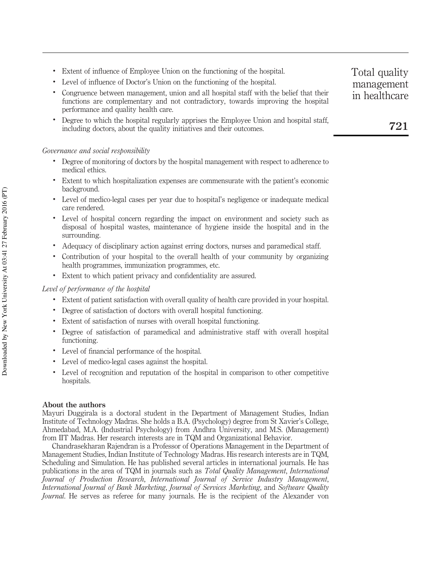- . Extent of influence of Employee Union on the functioning of the hospital.
- . Level of influence of Doctor's Union on the functioning of the hospital.
- . Congruence between management, union and all hospital staff with the belief that their functions are complementary and not contradictory, towards improving the hospital performance and quality health care.
- . Degree to which the hospital regularly apprises the Employee Union and hospital staff, including doctors, about the quality initiatives and their outcomes.

#### *Governance and social responsibility*

- . Degree of monitoring of doctors by the hospital management with respect to adherence to medical ethics.
- . Extent to which hospitalization expenses are commensurate with the patient's economic background.
- . Level of medico-legal cases per year due to hospital's negligence or inadequate medical care rendered.
- . Level of hospital concern regarding the impact on environment and society such as disposal of hospital wastes, maintenance of hygiene inside the hospital and in the surrounding.
- . Adequacy of disciplinary action against erring doctors, nurses and paramedical staff.
- . Contribution of your hospital to the overall health of your community by organizing health programmes, immunization programmes, etc.
- . Extent to which patient privacy and confidentiality are assured.

# *Level of performance of the hospital*

- . Extent of patient satisfaction with overall quality of health care provided in your hospital.
- . Degree of satisfaction of doctors with overall hospital functioning.
- . Extent of satisfaction of nurses with overall hospital functioning.
- . Degree of satisfaction of paramedical and administrative staff with overall hospital functioning.
- . Level of financial performance of the hospital.
- . Level of medico-legal cases against the hospital.
- . Level of recognition and reputation of the hospital in comparison to other competitive hospitals.

#### About the authors

Mayuri Duggirala is a doctoral student in the Department of Management Studies, Indian Institute of Technology Madras. She holds a B.A. (Psychology) degree from St Xavier's College, Ahmedabad, M.A. (Industrial Psychology) from Andhra University, and M.S. (Management) from IIT Madras. Her research interests are in TQM and Organizational Behavior.

Chandrasekharan Rajendran is a Professor of Operations Management in the Department of Management Studies, Indian Institute of Technology Madras. His research interests are in TQM, Scheduling and Simulation. He has published several articles in international journals. He has publications in the area of TQM in journals such as *Total Quality Management*, *International Journal of Production Research*, *International Journal of Service Industry Management*, *International Journal of Bank Marketing*, *Journal of Services Marketing*, and *Software Quality Journal*. He serves as referee for many journals. He is the recipient of the Alexander von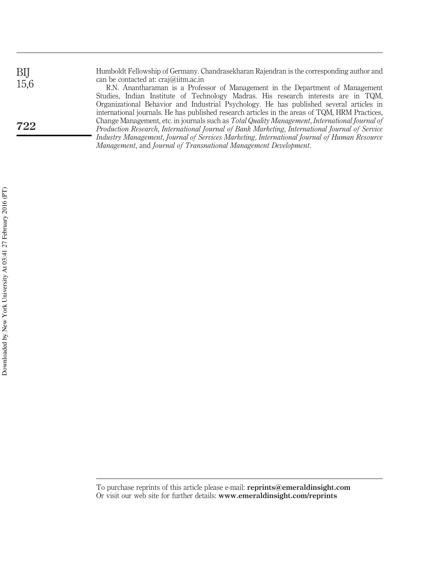| ВIJ  | Humboldt Fellowship of Germany. Chandrasekharan Rajendran is the corresponding author and                     |
|------|---------------------------------------------------------------------------------------------------------------|
| 15,6 | can be contacted at: $crai@iitm.ac.in$                                                                        |
|      | R.N. Anantharaman is a Professor of Management in the Department of Management                                |
|      | Studies, Indian Institute of Technology Madras. His research interests are in TQM,                            |
|      | Organizational Behavior and Industrial Psychology. He has published several articles in                       |
|      | international journals. He has published research articles in the areas of TQM, HRM Practices,                |
|      | Change Management, etc. in journals such as <i>Total Quality Management</i> , <i>International Journal of</i> |
| 722  | Production Research, International Journal of Bank Marketing, International Journal of Service                |
|      | Industry Management, Journal of Services Marketing, International Journal of Human Resource                   |
|      | Management, and Journal of Transnational Management Development.                                              |